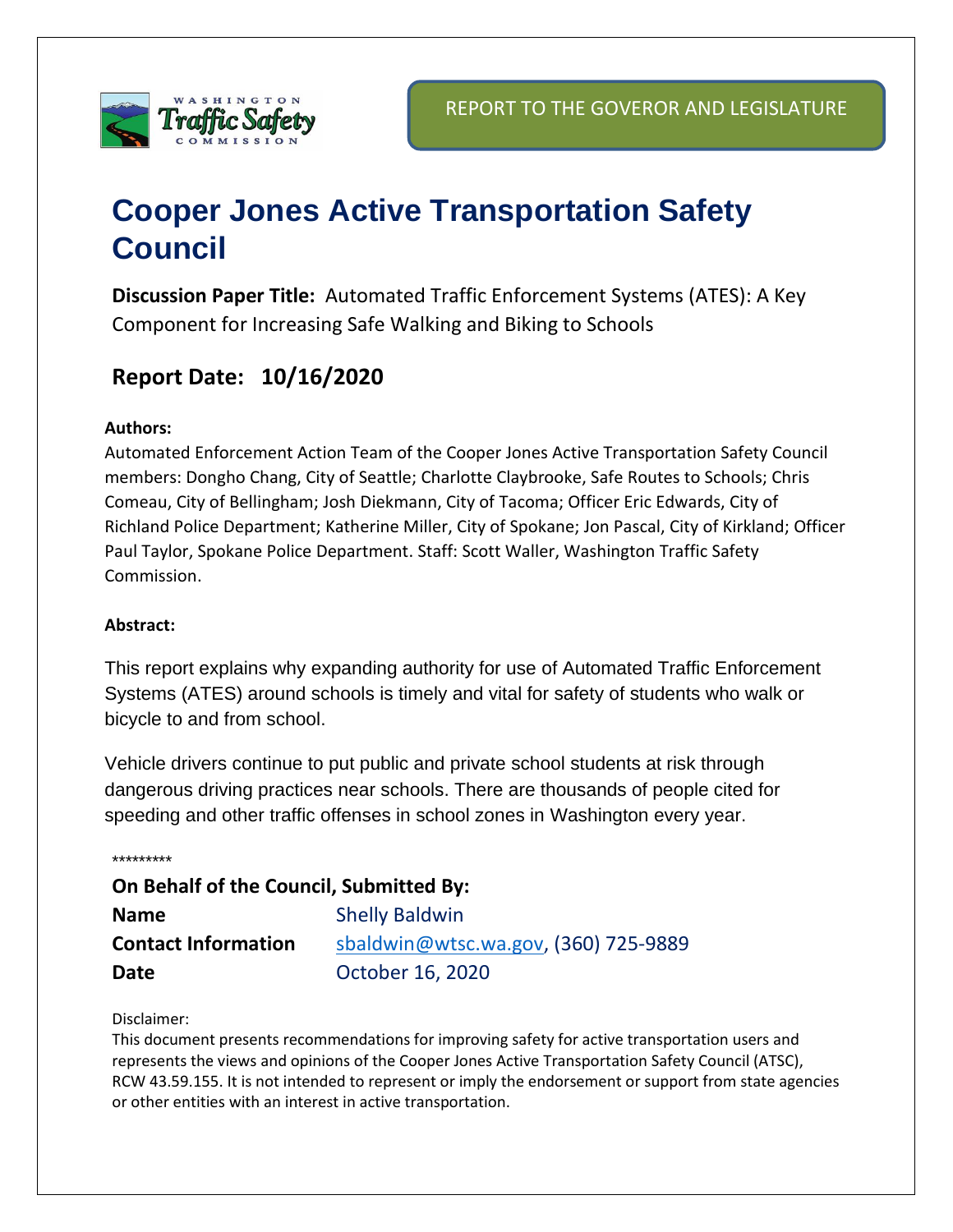

# **Cooper Jones Active Transportation Safety Council**

**Discussion Paper Title:** Automated Traffic Enforcement Systems (ATES): A Key Component for Increasing Safe Walking and Biking to Schools

## **Report Date: 10/16/2020**

#### **Authors:**

Automated Enforcement Action Team of the Cooper Jones Active Transportation Safety Council members: Dongho Chang, City of Seattle; Charlotte Claybrooke, Safe Routes to Schools; Chris Comeau, City of Bellingham; Josh Diekmann, City of Tacoma; Officer Eric Edwards, City of Richland Police Department; Katherine Miller, City of Spokane; Jon Pascal, City of Kirkland; Officer Paul Taylor, Spokane Police Department. Staff: Scott Waller, Washington Traffic Safety Commission.

#### **Abstract:**

This report explains why expanding authority for use of Automated Traffic Enforcement Systems (ATES) around schools is timely and vital for safety of students who walk or bicycle to and from school.

Vehicle drivers continue to put public and private school students at risk through dangerous driving practices near schools. There are thousands of people cited for speeding and other traffic offenses in school zones in Washington every year.

\*\*\*\*\*\*\*\*\*

**On Behalf of the Council, Submitted By: Name** Shelly Baldwin **Contact Information** [sbaldwin@wtsc.wa.gov,](mailto:sbaldwin@wtsc.wa.gov) (360) 725-9889 **Date** October 16, 2020

#### Disclaimer:

This document presents recommendations for improving safety for active transportation users and represents the views and opinions of the Cooper Jones Active Transportation Safety Council (ATSC), RCW 43.59.155. It is not intended to represent or imply the endorsement or support from state agencies or other entities with an interest in active transportation.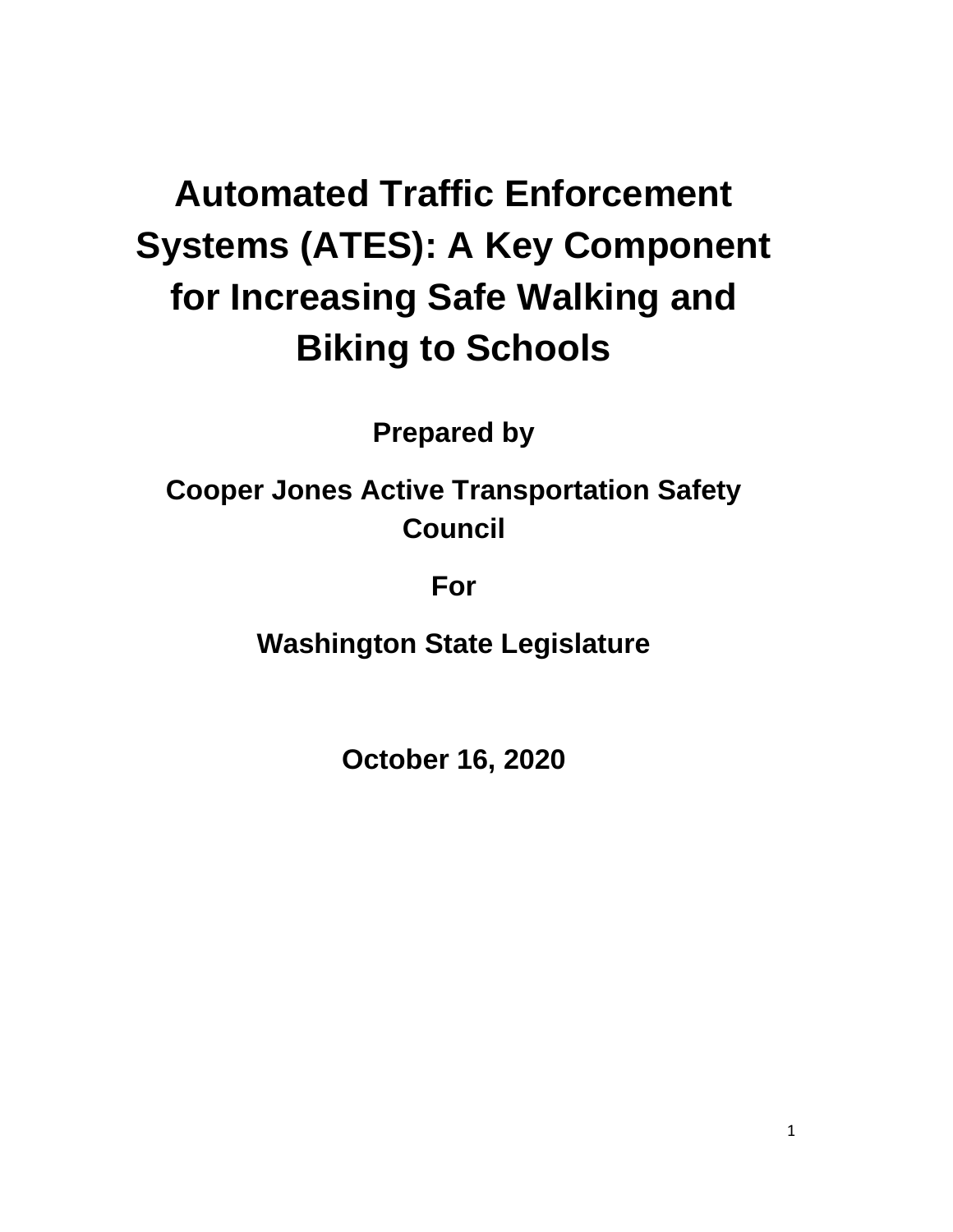# **Automated Traffic Enforcement Systems (ATES): A Key Component for Increasing Safe Walking and Biking to Schools**

**Prepared by**

**Cooper Jones Active Transportation Safety Council**

**For**

**Washington State Legislature**

**October 16, 2020**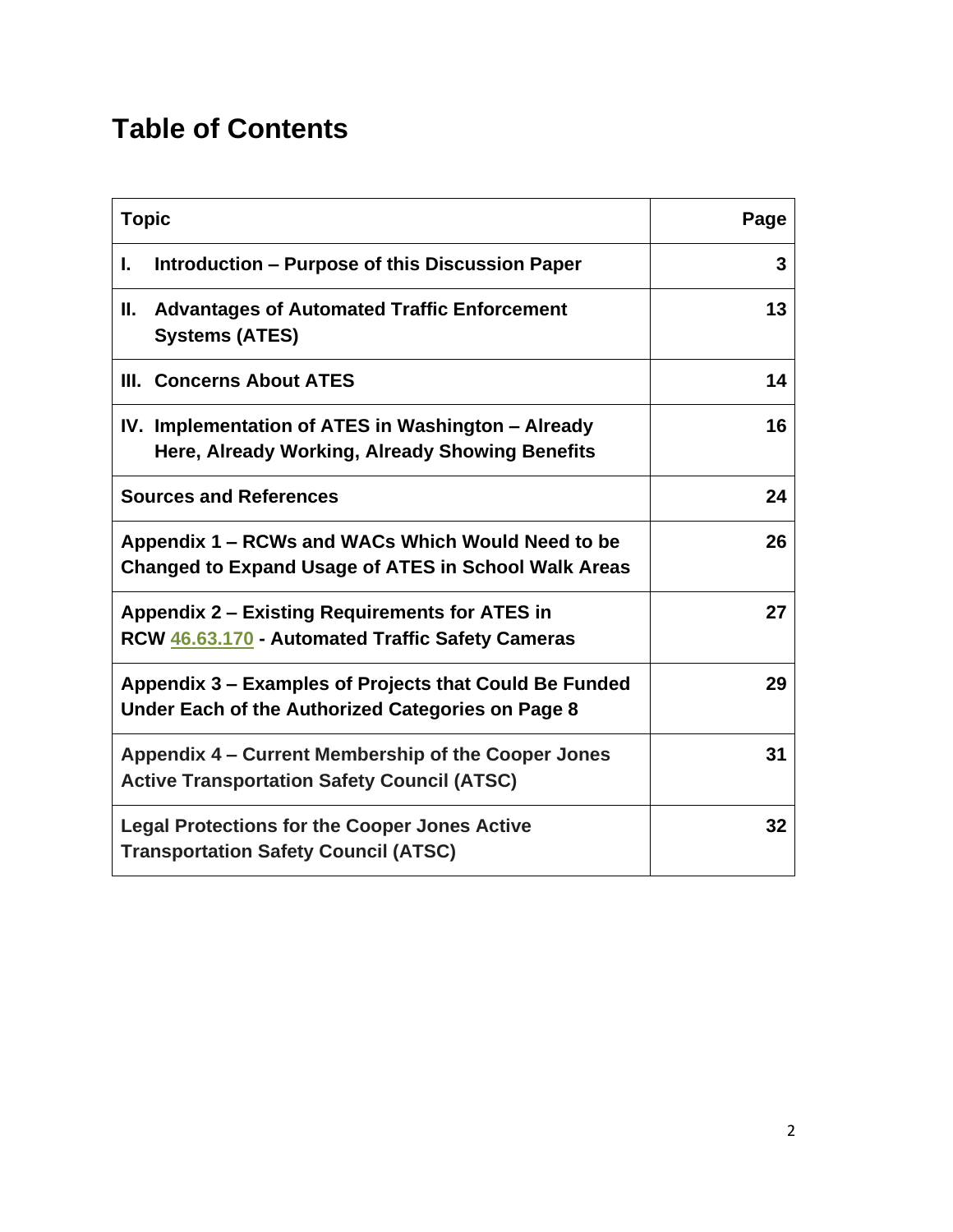## **Table of Contents**

| <b>Topic</b>                                                                                                | Page |
|-------------------------------------------------------------------------------------------------------------|------|
| Introduction – Purpose of this Discussion Paper<br>L.                                                       | 3    |
| <b>Advantages of Automated Traffic Enforcement</b><br>н.<br><b>Systems (ATES)</b>                           | 13   |
| III. Concerns About ATES                                                                                    | 14   |
| IV. Implementation of ATES in Washington – Already<br>Here, Already Working, Already Showing Benefits       | 16   |
| <b>Sources and References</b>                                                                               | 24   |
| Appendix 1 – RCWs and WACs Which Would Need to be<br>Changed to Expand Usage of ATES in School Walk Areas   | 26   |
| <b>Appendix 2 – Existing Requirements for ATES in</b><br>RCW 46.63.170 - Automated Traffic Safety Cameras   | 27   |
| Appendix 3 – Examples of Projects that Could Be Funded<br>Under Each of the Authorized Categories on Page 8 | 29   |
| Appendix 4 – Current Membership of the Cooper Jones<br><b>Active Transportation Safety Council (ATSC)</b>   | 31   |
| <b>Legal Protections for the Cooper Jones Active</b><br><b>Transportation Safety Council (ATSC)</b>         | 32   |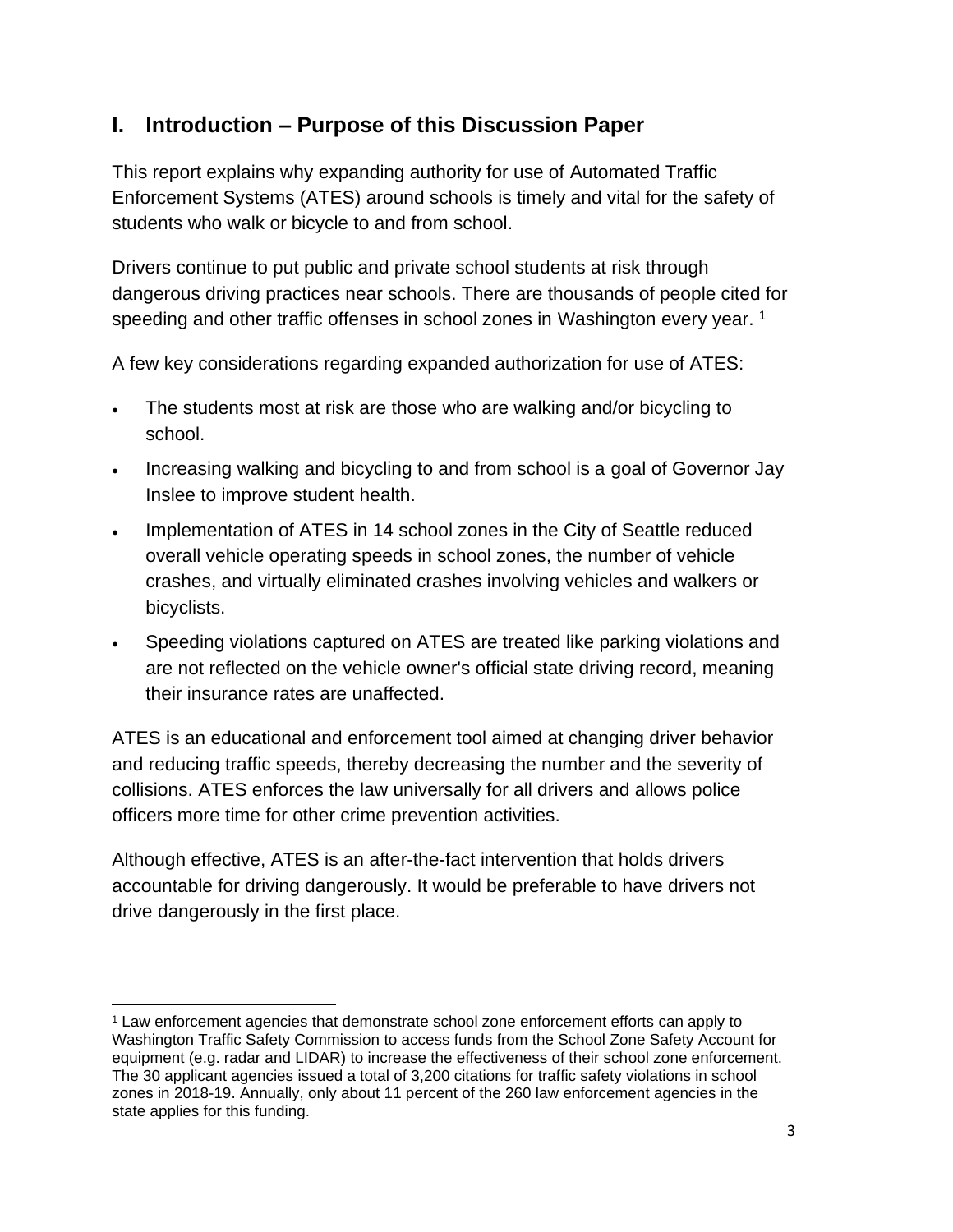### **I. Introduction – Purpose of this Discussion Paper**

This report explains why expanding authority for use of Automated Traffic Enforcement Systems (ATES) around schools is timely and vital for the safety of students who walk or bicycle to and from school.

Drivers continue to put public and private school students at risk through dangerous driving practices near schools. There are thousands of people cited for speeding and other traffic offenses in school zones in Washington every year.<sup>1</sup>

A few key considerations regarding expanded authorization for use of ATES:

- The students most at risk are those who are walking and/or bicycling to school.
- Increasing walking and bicycling to and from school is a goal of Governor Jay Inslee to improve student health.
- Implementation of ATES in 14 school zones in the City of Seattle reduced overall vehicle operating speeds in school zones, the number of vehicle crashes, and virtually eliminated crashes involving vehicles and walkers or bicyclists.
- Speeding violations captured on ATES are treated like parking violations and are not reflected on the vehicle owner's official state driving record, meaning their insurance rates are unaffected.

ATES is an educational and enforcement tool aimed at changing driver behavior and reducing traffic speeds, thereby decreasing the number and the severity of collisions. ATES enforces the law universally for all drivers and allows police officers more time for other crime prevention activities.

Although effective, ATES is an after-the-fact intervention that holds drivers accountable for driving dangerously. It would be preferable to have drivers not drive dangerously in the first place.

<sup>1</sup> Law enforcement agencies that demonstrate school zone enforcement efforts can apply to Washington Traffic Safety Commission to access funds from the School Zone Safety Account for equipment (e.g. radar and LIDAR) to increase the effectiveness of their school zone enforcement. The 30 applicant agencies issued a total of 3,200 citations for traffic safety violations in school zones in 2018-19. Annually, only about 11 percent of the 260 law enforcement agencies in the state applies for this funding.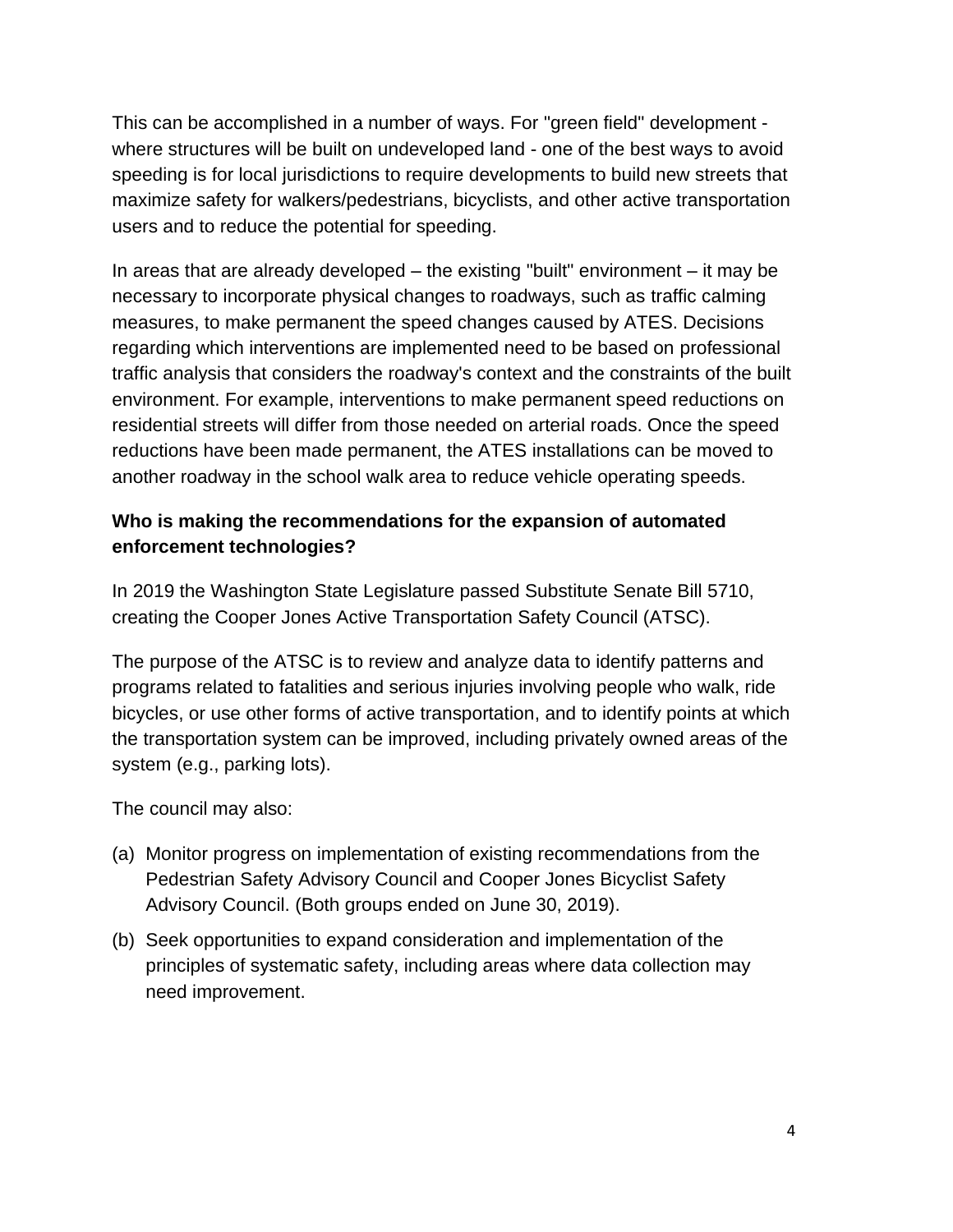This can be accomplished in a number of ways. For "green field" development where structures will be built on undeveloped land - one of the best ways to avoid speeding is for local jurisdictions to require developments to build new streets that maximize safety for walkers/pedestrians, bicyclists, and other active transportation users and to reduce the potential for speeding.

In areas that are already developed – the existing "built" environment – it may be necessary to incorporate physical changes to roadways, such as traffic calming measures, to make permanent the speed changes caused by ATES. Decisions regarding which interventions are implemented need to be based on professional traffic analysis that considers the roadway's context and the constraints of the built environment. For example, interventions to make permanent speed reductions on residential streets will differ from those needed on arterial roads. Once the speed reductions have been made permanent, the ATES installations can be moved to another roadway in the school walk area to reduce vehicle operating speeds.

#### **Who is making the recommendations for the expansion of automated enforcement technologies?**

In 2019 the Washington State Legislature passed Substitute Senate Bill 5710, creating the Cooper Jones Active Transportation Safety Council (ATSC).

The purpose of the ATSC is to review and analyze data to identify patterns and programs related to fatalities and serious injuries involving people who walk, ride bicycles, or use other forms of active transportation, and to identify points at which the transportation system can be improved, including privately owned areas of the system (e.g., parking lots).

The council may also:

- (a) Monitor progress on implementation of existing recommendations from the Pedestrian Safety Advisory Council and Cooper Jones Bicyclist Safety Advisory Council. (Both groups ended on June 30, 2019).
- (b) Seek opportunities to expand consideration and implementation of the principles of systematic safety, including areas where data collection may need improvement.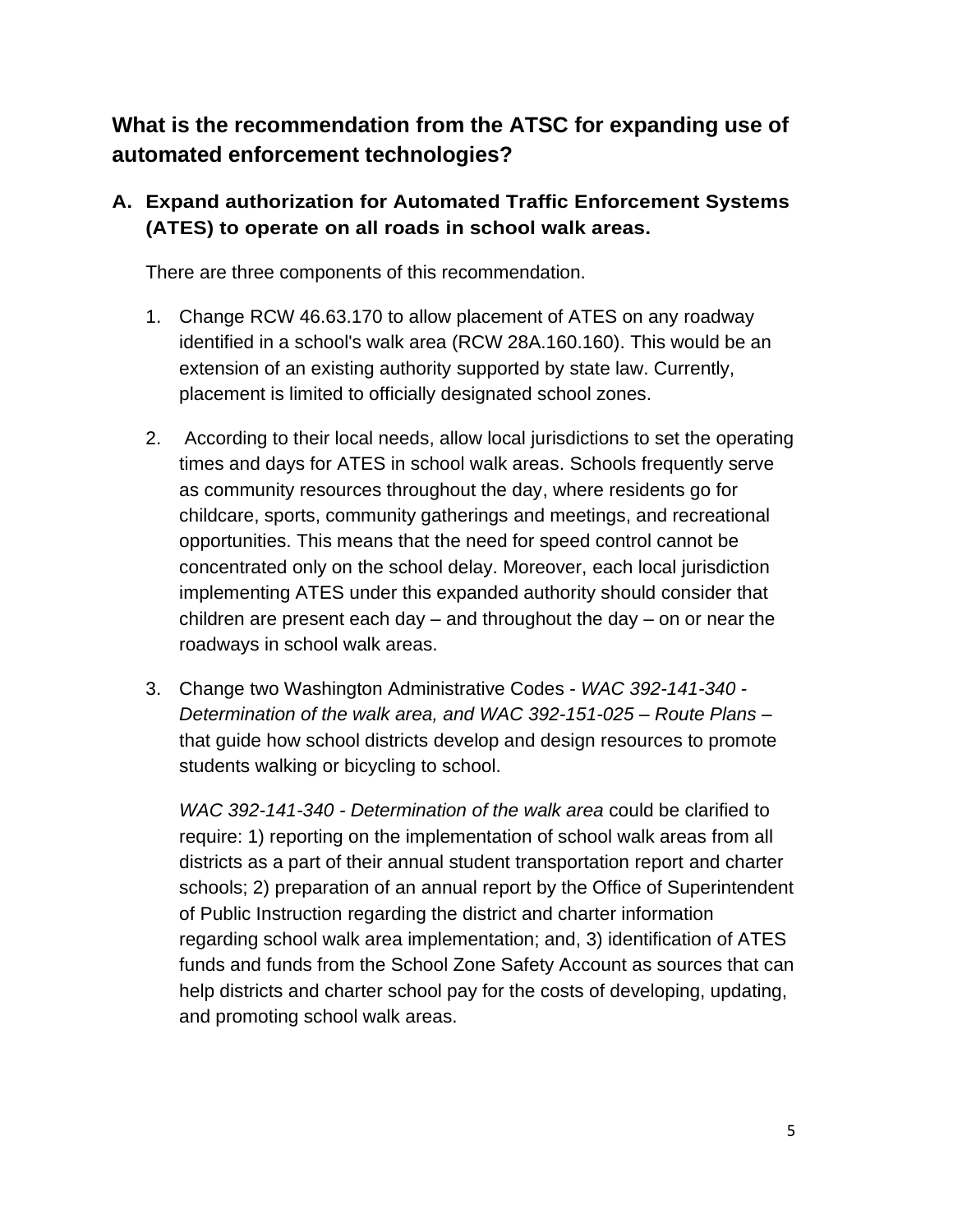**What is the recommendation from the ATSC for expanding use of automated enforcement technologies?**

#### **A. Expand authorization for Automated Traffic Enforcement Systems (ATES) to operate on all roads in school walk areas.**

There are three components of this recommendation.

- 1. Change RCW 46.63.170 to allow placement of ATES on any roadway identified in a school's walk area (RCW 28A.160.160). This would be an extension of an existing authority supported by state law. Currently, placement is limited to officially designated school zones.
- 2. According to their local needs, allow local jurisdictions to set the operating times and days for ATES in school walk areas. Schools frequently serve as community resources throughout the day, where residents go for childcare, sports, community gatherings and meetings, and recreational opportunities. This means that the need for speed control cannot be concentrated only on the school delay. Moreover, each local jurisdiction implementing ATES under this expanded authority should consider that children are present each day  $-$  and throughout the day  $-$  on or near the roadways in school walk areas.
- 3. Change two Washington Administrative Codes *WAC 392-141-340 - Determination of the walk area, and WAC 392-151-025 – Route Plans* – that guide how school districts develop and design resources to promote students walking or bicycling to school.

*WAC 392-141-340 - Determination of the walk area* could be clarified to require: 1) reporting on the implementation of school walk areas from all districts as a part of their annual student transportation report and charter schools; 2) preparation of an annual report by the Office of Superintendent of Public Instruction regarding the district and charter information regarding school walk area implementation; and, 3) identification of ATES funds and funds from the School Zone Safety Account as sources that can help districts and charter school pay for the costs of developing, updating, and promoting school walk areas.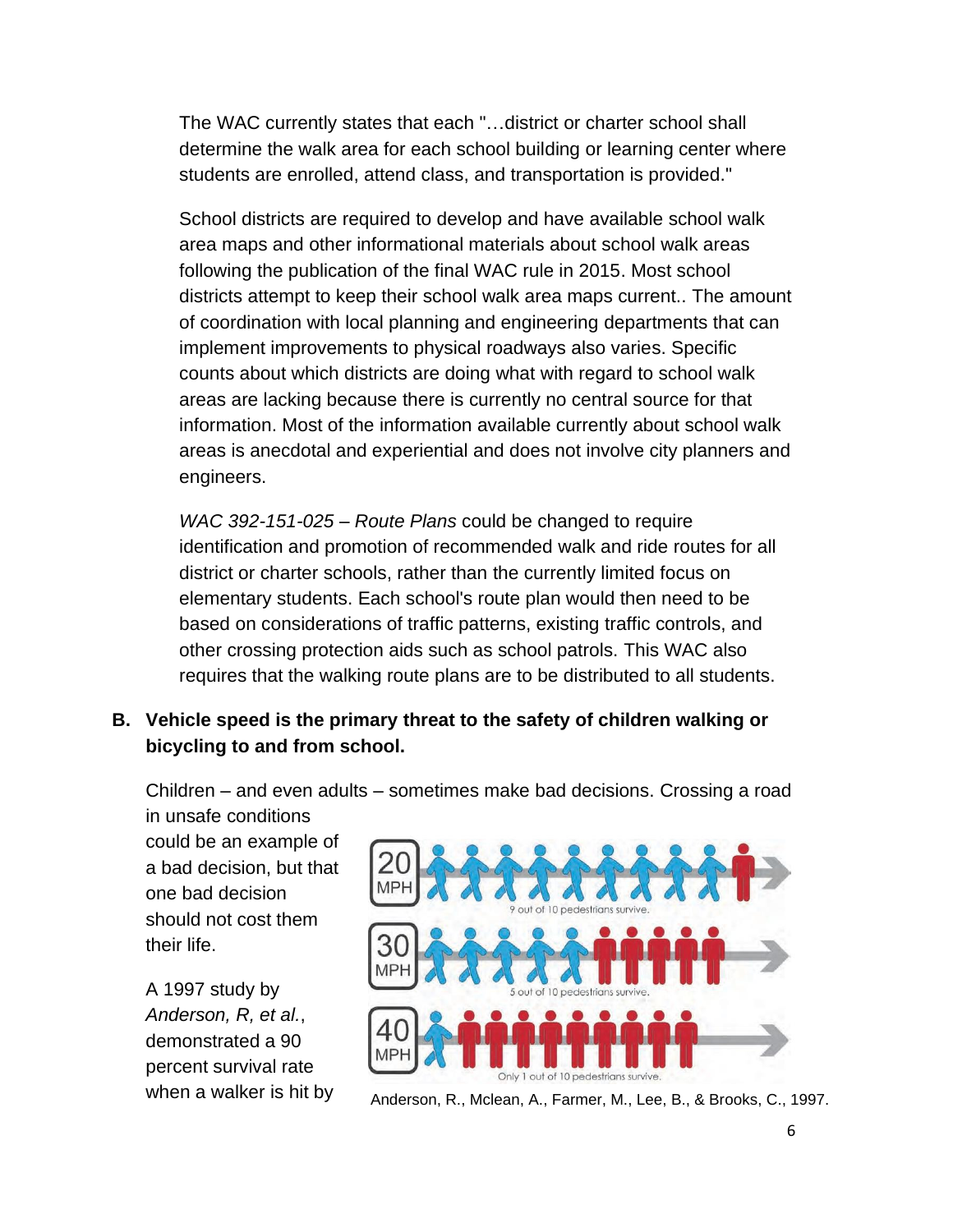The WAC currently states that each "…district or charter school shall determine the walk area for each school building or learning center where students are enrolled, attend class, and transportation is provided."

School districts are required to develop and have available school walk area maps and other informational materials about school walk areas following the publication of the final WAC rule in 2015. Most school districts attempt to keep their school walk area maps current.. The amount of coordination with local planning and engineering departments that can implement improvements to physical roadways also varies. Specific counts about which districts are doing what with regard to school walk areas are lacking because there is currently no central source for that information. Most of the information available currently about school walk areas is anecdotal and experiential and does not involve city planners and engineers.

*WAC 392-151-025 – Route Plans* could be changed to require identification and promotion of recommended walk and ride routes for all district or charter schools, rather than the currently limited focus on elementary students. Each school's route plan would then need to be based on considerations of traffic patterns, existing traffic controls, and other crossing protection aids such as school patrols. This WAC also requires that the walking route plans are to be distributed to all students.

#### **B. Vehicle speed is the primary threat to the safety of children walking or bicycling to and from school.**

Children – and even adults – sometimes make bad decisions. Crossing a road in unsafe conditions

could be an example of a bad decision, but that one bad decision should not cost them their life.

A 1997 study by *Anderson, R, et al.*, demonstrated a 90 percent survival rate



when a walker is hit by  $Anderson, R., Mclean, A., Farmer, M., Lee, B., & Brooks, C., 1997.$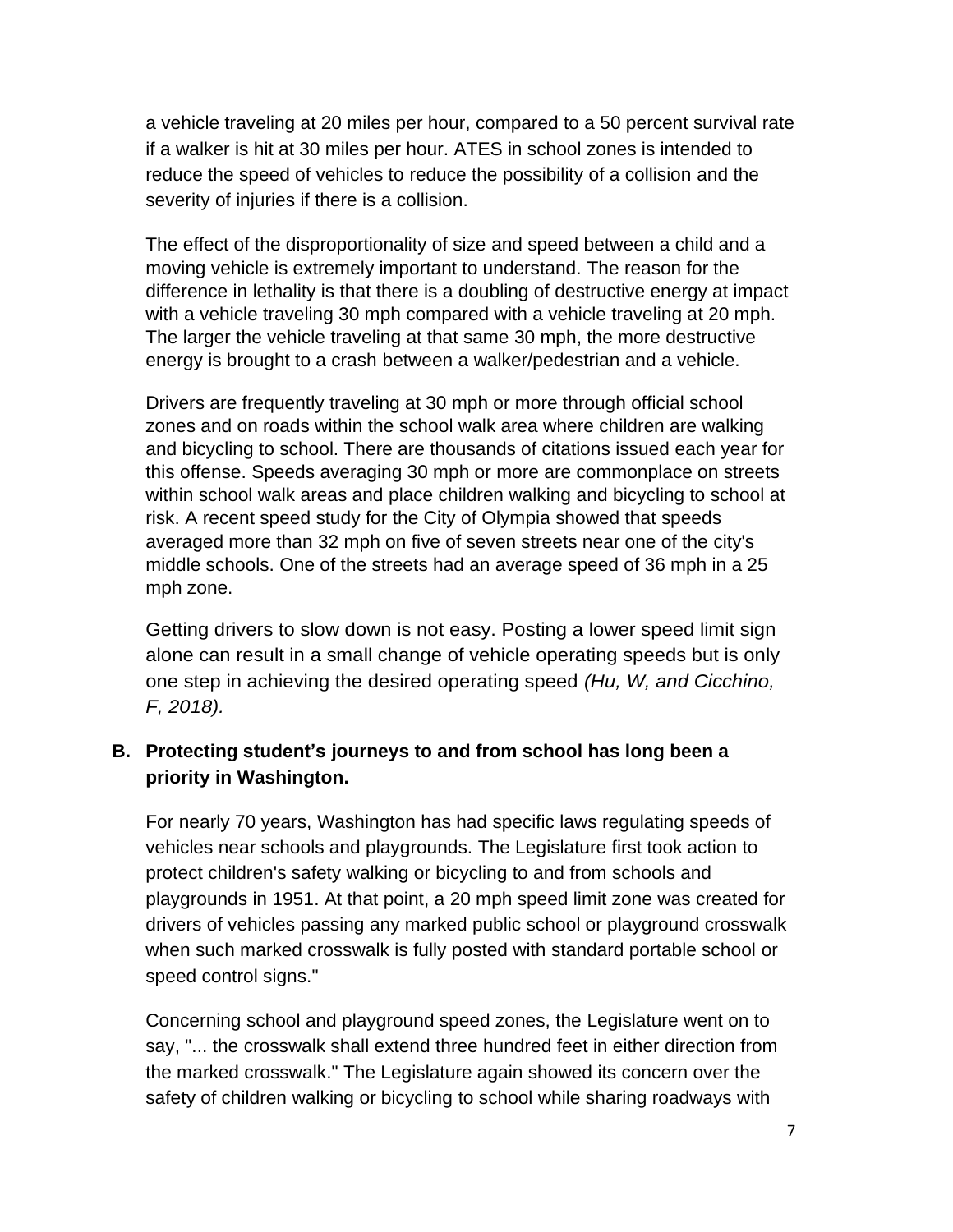a vehicle traveling at 20 miles per hour, compared to a 50 percent survival rate if a walker is hit at 30 miles per hour. ATES in school zones is intended to reduce the speed of vehicles to reduce the possibility of a collision and the severity of injuries if there is a collision.

The effect of the disproportionality of size and speed between a child and a moving vehicle is extremely important to understand. The reason for the difference in lethality is that there is a doubling of destructive energy at impact with a vehicle traveling 30 mph compared with a vehicle traveling at 20 mph. The larger the vehicle traveling at that same 30 mph, the more destructive energy is brought to a crash between a walker/pedestrian and a vehicle.

Drivers are frequently traveling at 30 mph or more through official school zones and on roads within the school walk area where children are walking and bicycling to school. There are thousands of citations issued each year for this offense. Speeds averaging 30 mph or more are commonplace on streets within school walk areas and place children walking and bicycling to school at risk. A recent speed study for the City of Olympia showed that speeds averaged more than 32 mph on five of seven streets near one of the city's middle schools. One of the streets had an average speed of 36 mph in a 25 mph zone.

Getting drivers to slow down is not easy. Posting a lower speed limit sign alone can result in a small change of vehicle operating speeds but is only one step in achieving the desired operating speed *(Hu, W, and Cicchino, F, 2018).*

#### **B. Protecting student's journeys to and from school has long been a priority in Washington.**

For nearly 70 years, Washington has had specific laws regulating speeds of vehicles near schools and playgrounds. The Legislature first took action to protect children's safety walking or bicycling to and from schools and playgrounds in 1951. At that point, a 20 mph speed limit zone was created for drivers of vehicles passing any marked public school or playground crosswalk when such marked crosswalk is fully posted with standard portable school or speed control signs."

Concerning school and playground speed zones, the Legislature went on to say, "... the crosswalk shall extend three hundred feet in either direction from the marked crosswalk." The Legislature again showed its concern over the safety of children walking or bicycling to school while sharing roadways with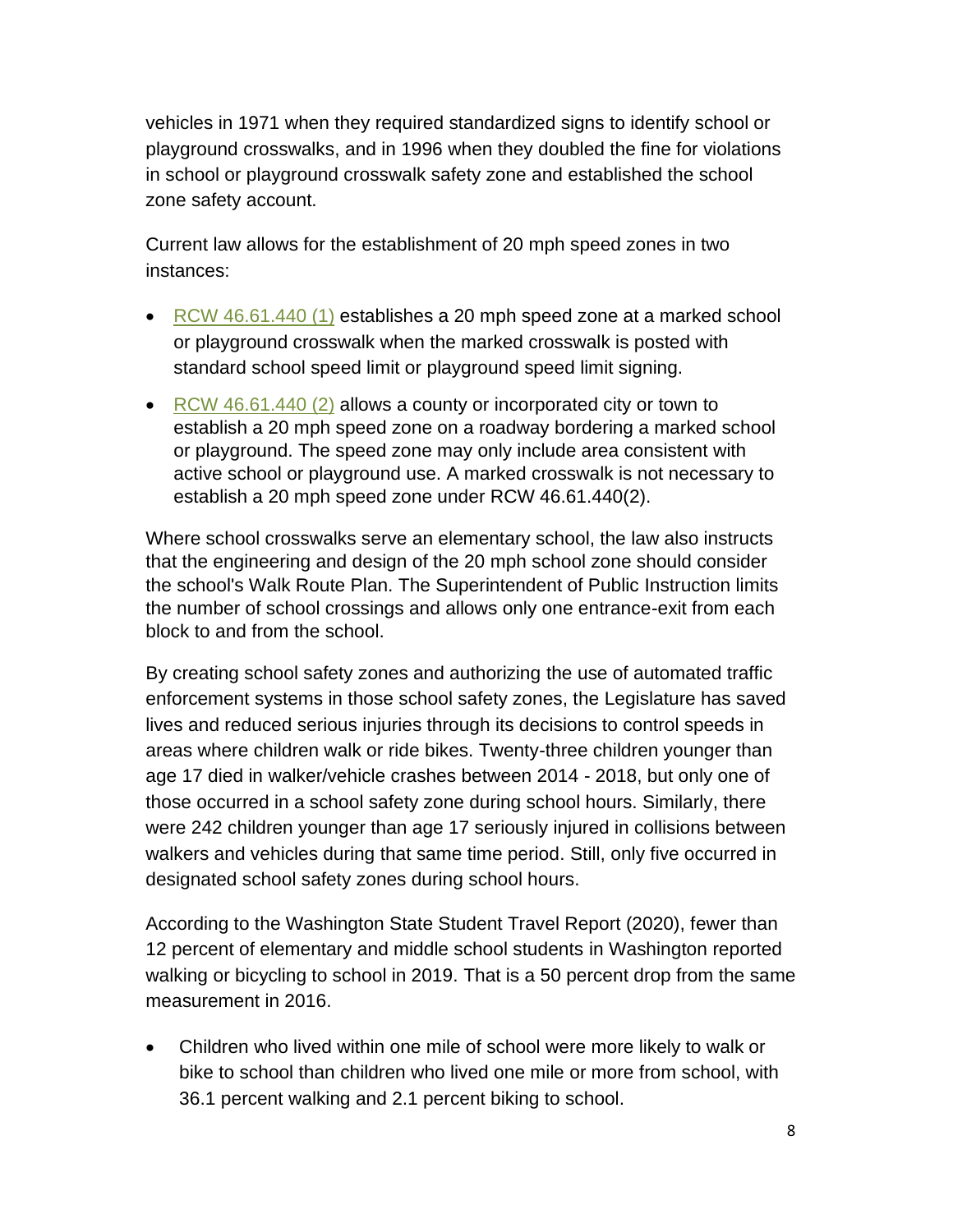vehicles in 1971 when they required standardized signs to identify school or playground crosswalks, and in 1996 when they doubled the fine for violations in school or playground crosswalk safety zone and established the school zone safety account.

Current law allows for the establishment of 20 mph speed zones in two instances:

- [RCW 46.61.440](https://app.leg.wa.gov/rcw/default.aspx?cite=46.61.440) (1) establishes a 20 mph speed zone at a marked school or playground crosswalk when the marked crosswalk is posted with standard school speed limit or playground speed limit signing.
- [RCW 46.61.440](https://app.leg.wa.gov/rcw/default.aspx?cite=46.61.440) (2) allows a county or incorporated city or town to establish a 20 mph speed zone on a roadway bordering a marked school or playground. The speed zone may only include area consistent with active school or playground use. A marked crosswalk is not necessary to establish a 20 mph speed zone under RCW 46.61.440(2).

Where school crosswalks serve an elementary school, the law also instructs that the engineering and design of the 20 mph school zone should consider the school's Walk Route Plan. The Superintendent of Public Instruction limits the number of school crossings and allows only one entrance-exit from each block to and from the school.

By creating school safety zones and authorizing the use of automated traffic enforcement systems in those school safety zones, the Legislature has saved lives and reduced serious injuries through its decisions to control speeds in areas where children walk or ride bikes. Twenty-three children younger than age 17 died in walker/vehicle crashes between 2014 - 2018, but only one of those occurred in a school safety zone during school hours. Similarly, there were 242 children younger than age 17 seriously injured in collisions between walkers and vehicles during that same time period. Still, only five occurred in designated school safety zones during school hours.

According to the Washington State Student Travel Report (2020), fewer than 12 percent of elementary and middle school students in Washington reported walking or bicycling to school in 2019. That is a 50 percent drop from the same measurement in 2016.

• Children who lived within one mile of school were more likely to walk or bike to school than children who lived one mile or more from school, with 36.1 percent walking and 2.1 percent biking to school.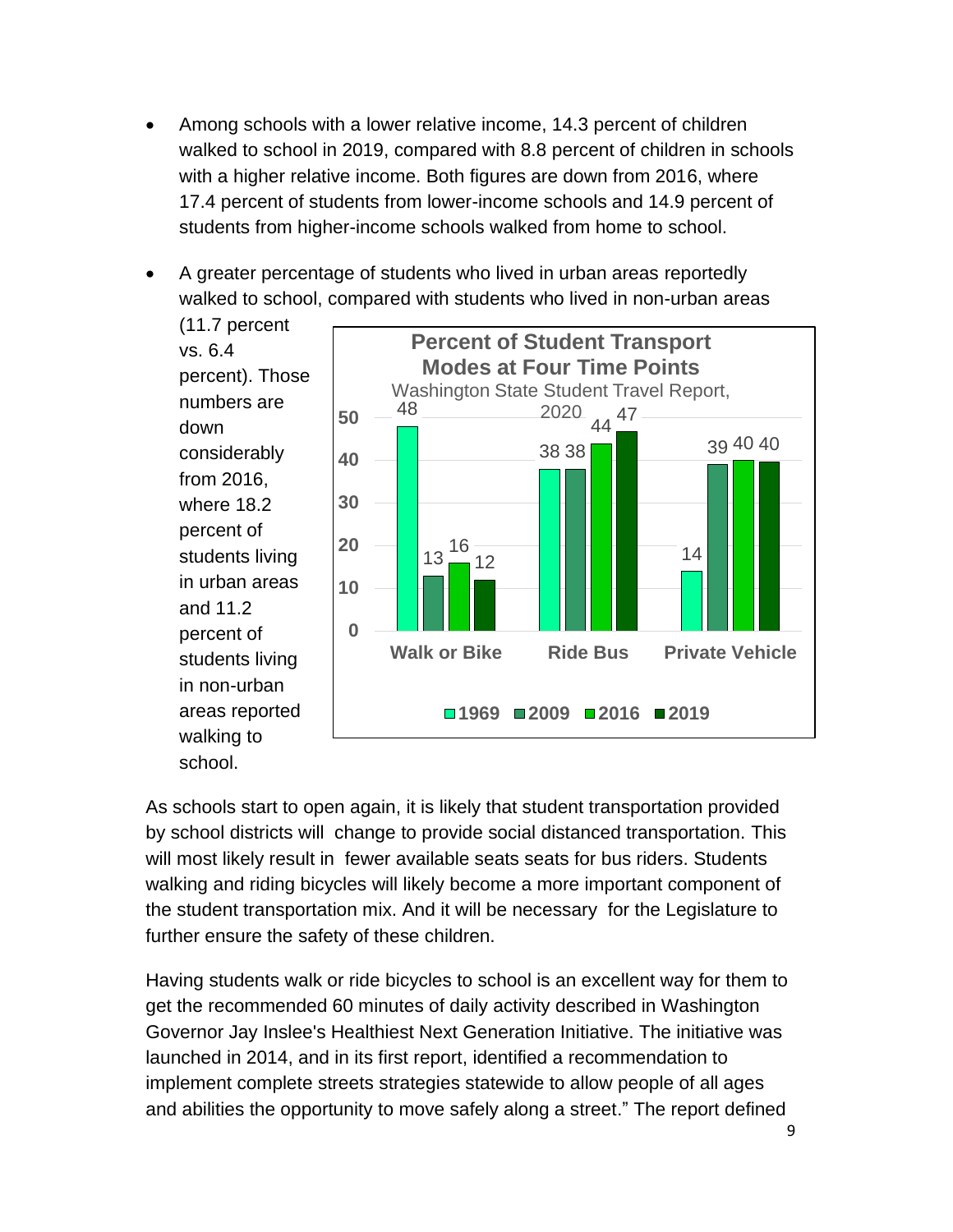- Among schools with a lower relative income, 14.3 percent of children walked to school in 2019, compared with 8.8 percent of children in schools with a higher relative income. Both figures are down from 2016, where 17.4 percent of students from lower-income schools and 14.9 percent of students from higher-income schools walked from home to school.
- A greater percentage of students who lived in urban areas reportedly walked to school, compared with students who lived in non-urban areas



As schools start to open again, it is likely that student transportation provided by school districts will change to provide social distanced transportation. This will most likely result in fewer available seats seats for bus riders. Students walking and riding bicycles will likely become a more important component of the student transportation mix. And it will be necessary for the Legislature to further ensure the safety of these children.

Having students walk or ride bicycles to school is an excellent way for them to get the recommended 60 minutes of daily activity described in Washington Governor Jay Inslee's Healthiest Next Generation Initiative. The initiative was launched in 2014, and in its first report, identified a recommendation to implement complete streets strategies statewide to allow people of all ages and abilities the opportunity to move safely along a street." The report defined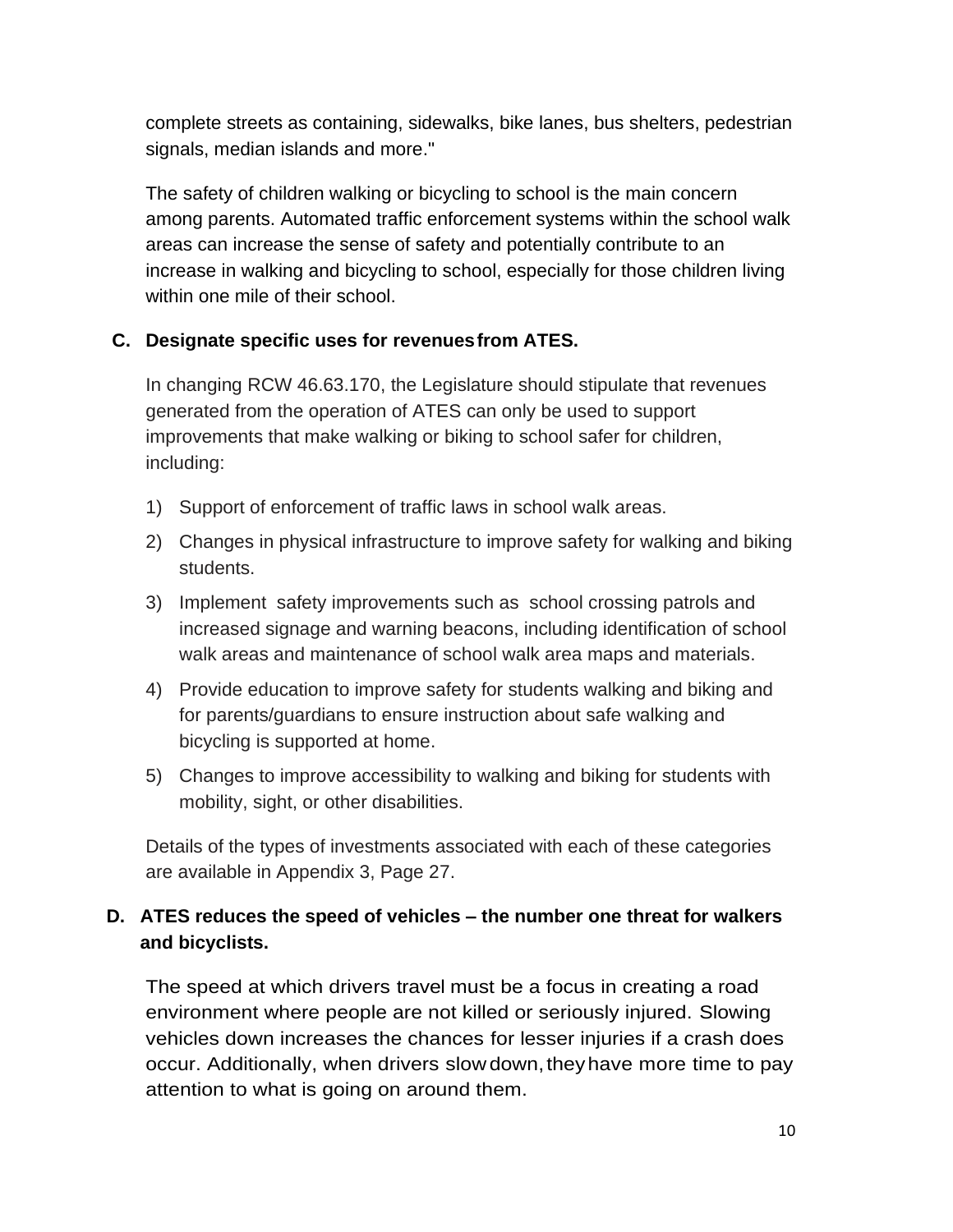complete streets as containing, sidewalks, bike lanes, bus shelters, pedestrian signals, median islands and more."

The safety of children walking or bicycling to school is the main concern among parents. Automated traffic enforcement systems within the school walk areas can increase the sense of safety and potentially contribute to an increase in walking and bicycling to school, especially for those children living within one mile of their school.

#### **C. Designate specific uses for revenuesfrom ATES.**

In changing RCW 46.63.170, the Legislature should stipulate that revenues generated from the operation of ATES can only be used to support improvements that make walking or biking to school safer for children, including:

- 1) Support of enforcement of traffic laws in school walk areas.
- 2) Changes in physical infrastructure to improve safety for walking and biking students.
- 3) Implement safety improvements such as school crossing patrols and increased signage and warning beacons, including identification of school walk areas and maintenance of school walk area maps and materials.
- 4) Provide education to improve safety for students walking and biking and for parents/guardians to ensure instruction about safe walking and bicycling is supported at home.
- 5) Changes to improve accessibility to walking and biking for students with mobility, sight, or other disabilities.

Details of the types of investments associated with each of these categories are available in Appendix 3, Page 27.

#### **D. ATES reduces the speed of vehicles – the number one threat for walkers and bicyclists.**

The speed at which drivers travel must be a focus in creating a road environment where people are not killed or seriously injured. Slowing vehicles down increases the chances for lesser injuries if a crash does occur. Additionally, when drivers slowdown,theyhave more time to pay attention to what is going on around them.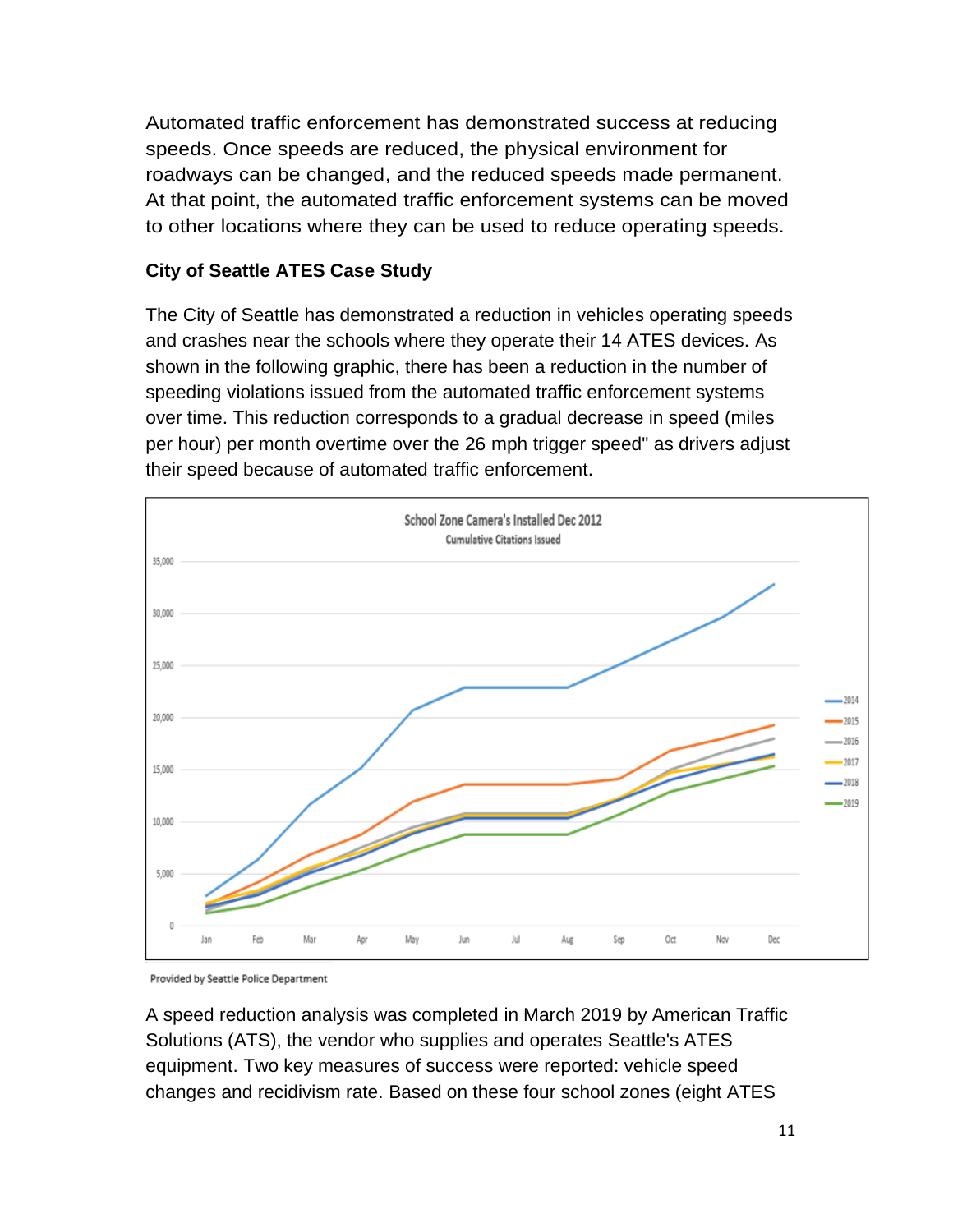Automated traffic enforcement has demonstrated success at reducing speeds. Once speeds are reduced, the physical environment for roadways can be changed, and the reduced speeds made permanent. At that point, the automated traffic enforcement systems can be moved to other locations where they can be used to reduce operating speeds.

#### **City of Seattle ATES Case Study**

The City of Seattle has demonstrated a reduction in vehicles operating speeds and crashes near the schools where they operate their 14 ATES devices. As shown in the following graphic, there has been a reduction in the number of speeding violations issued from the automated traffic enforcement systems over time. This reduction corresponds to a gradual decrease in speed (miles per hour) per month overtime over the 26 mph trigger speed" as drivers adjust their speed because of automated traffic enforcement.



Provided by Seattle Police Department

A speed reduction analysis was completed in March 2019 by American Traffic Solutions (ATS), the vendor who supplies and operates Seattle's ATES equipment. Two key measures of success were reported: vehicle speed changes and recidivism rate. Based on these four school zones (eight ATES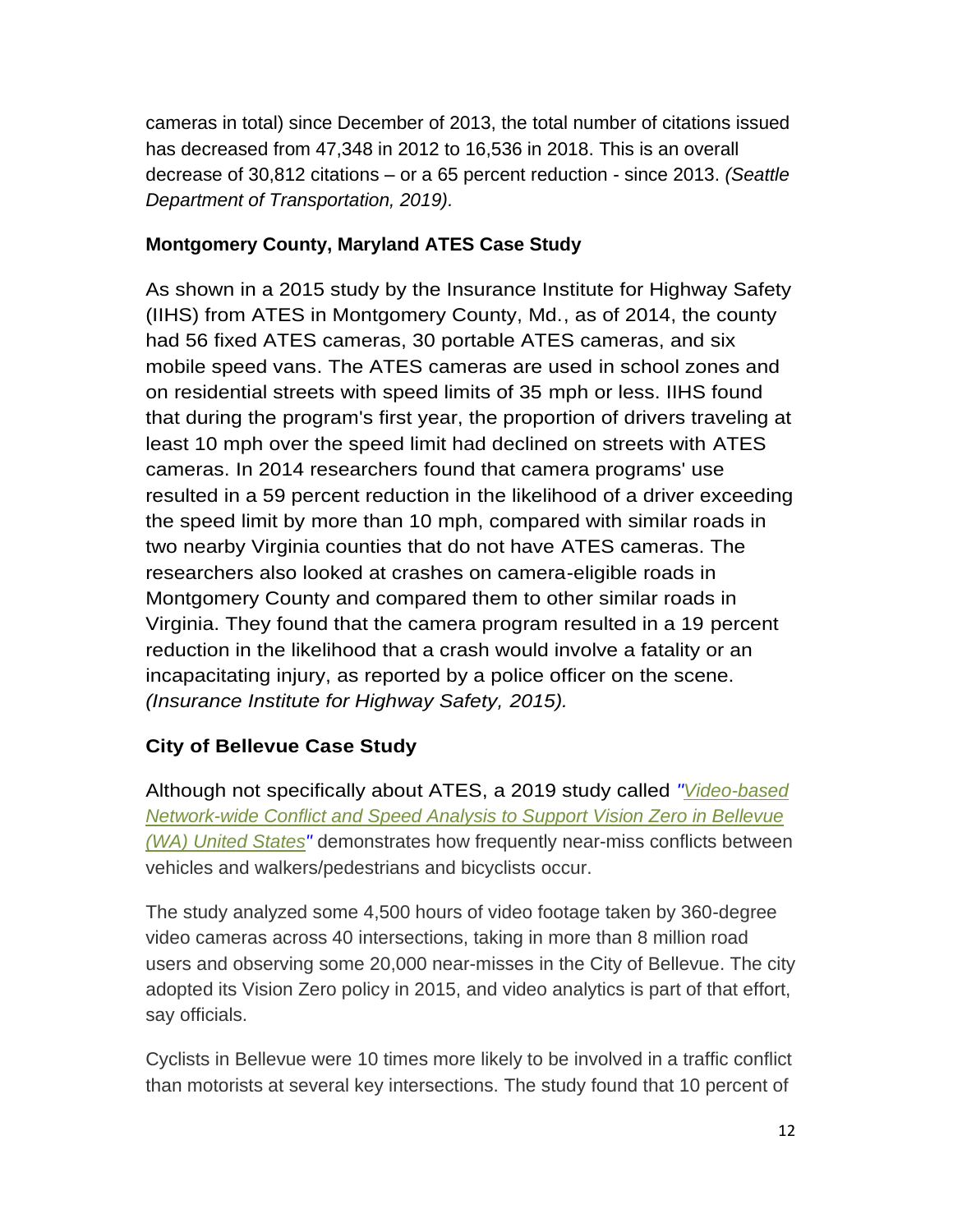cameras in total) since December of 2013, the total number of citations issued has decreased from 47,348 in 2012 to 16,536 in 2018. This is an overall decrease of 30,812 citations – or a 65 percent reduction - since 2013. *(Seattle Department of Transportation, 2019).*

#### **Montgomery County, Maryland ATES Case Study**

As shown in a 2015 study by the Insurance Institute for Highway Safety (IIHS) from ATES in Montgomery County, Md., as of 2014, the county had 56 fixed ATES cameras, 30 portable ATES cameras, and six mobile speed vans. The ATES cameras are used in school zones and on residential streets with speed limits of 35 mph or less. IIHS found that during the program's first year, the proportion of drivers traveling at least 10 mph over the speed limit had declined on streets with ATES cameras. In 2014 researchers found that camera programs' use resulted in a 59 percent reduction in the likelihood of a driver exceeding the speed limit by more than 10 mph, compared with similar roads in two nearby Virginia counties that do not have ATES cameras. The researchers also looked at crashes on camera-eligible roads in Montgomery County and compared them to other similar roads in Virginia. They found that the camera program resulted in a 19 percent reduction in the likelihood that a crash would involve a fatality or an incapacitating injury, as reported by a police officer on the scene. *(Insurance Institute for Highway Safety, 2015).*

#### **City of Bellevue Case Study**

Although not specifically about ATES, a 2019 study called *["Video-based](https://bellevuewa.gov/city-news/traffic-cam-monitoring-study)  [Network-wide Conflict and Speed Analysis to Support Vision Zero in Bellevue](https://bellevuewa.gov/city-news/traffic-cam-monitoring-study) [\(WA\) United States"](https://bellevuewa.gov/city-news/traffic-cam-monitoring-study)* demonstrates how frequently near-miss conflicts between vehicles and walkers/pedestrians and bicyclists occur.

The study analyzed some 4,500 hours of video footage taken by 360-degree video cameras across 40 intersections, taking in more than 8 million road users and observing some 20,000 near-misses in the City of Bellevue. The city adopted its Vision Zero policy in 2015, and video analytics is part of that effort, say officials.

Cyclists in Bellevue were 10 times more likely to be involved in a traffic conflict than motorists at several key intersections. The study found that 10 percent of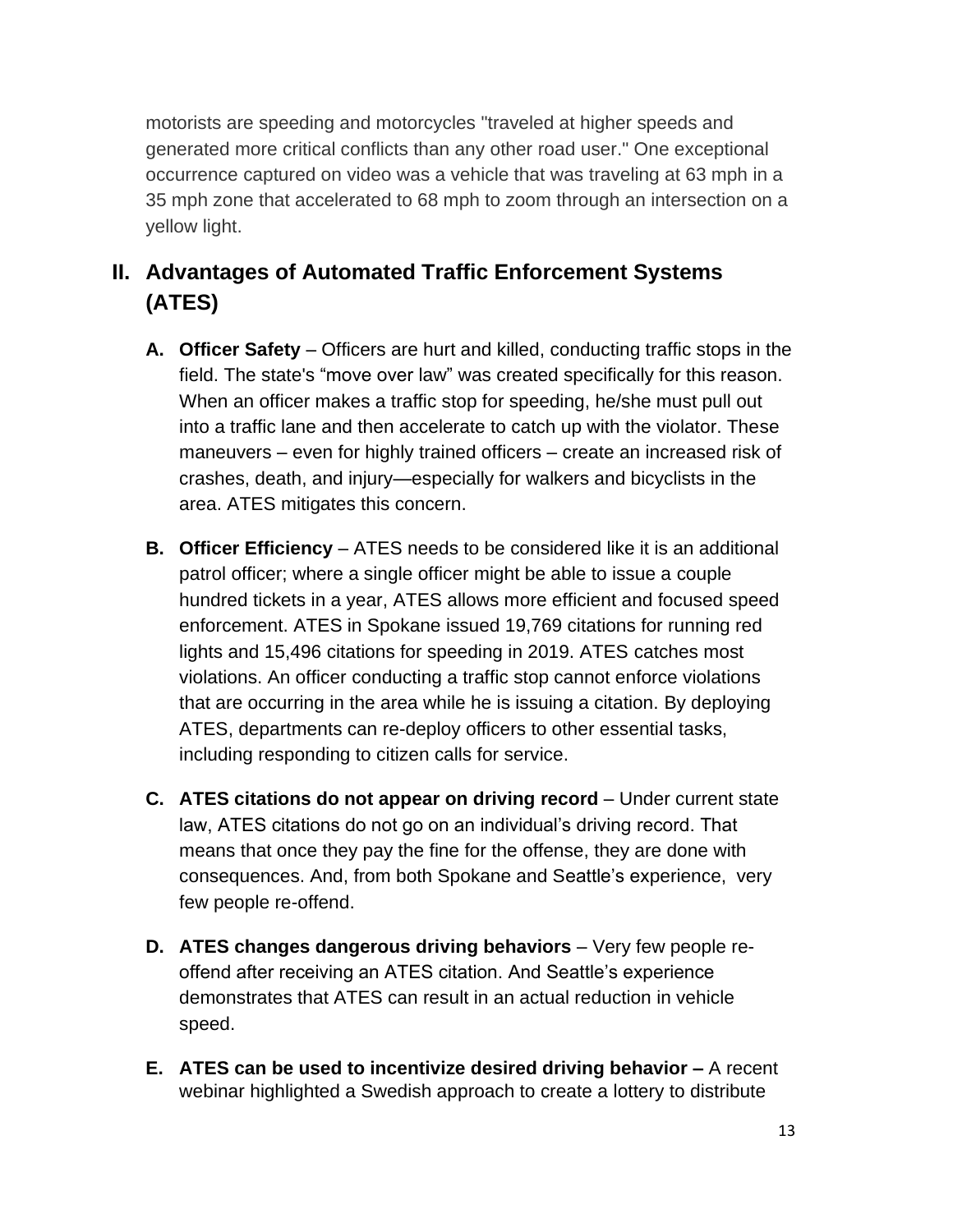motorists are speeding and motorcycles "traveled at higher speeds and generated more critical conflicts than any other road user." One exceptional occurrence captured on video was a vehicle that was traveling at 63 mph in a 35 mph zone that accelerated to 68 mph to zoom through an intersection on a yellow light.

## **II. Advantages of Automated Traffic Enforcement Systems (ATES)**

- **A. Officer Safety** Officers are hurt and killed, conducting traffic stops in the field. The state's "move over law" was created specifically for this reason. When an officer makes a traffic stop for speeding, he/she must pull out into a traffic lane and then accelerate to catch up with the violator. These maneuvers – even for highly trained officers – create an increased risk of crashes, death, and injury—especially for walkers and bicyclists in the area. ATES mitigates this concern.
- **B. Officer Efficiency** ATES needs to be considered like it is an additional patrol officer; where a single officer might be able to issue a couple hundred tickets in a year, ATES allows more efficient and focused speed enforcement. ATES in Spokane issued 19,769 citations for running red lights and 15,496 citations for speeding in 2019. ATES catches most violations. An officer conducting a traffic stop cannot enforce violations that are occurring in the area while he is issuing a citation. By deploying ATES, departments can re-deploy officers to other essential tasks, including responding to citizen calls for service.
- **C. ATES citations do not appear on driving record** Under current state law, ATES citations do not go on an individual's driving record. That means that once they pay the fine for the offense, they are done with consequences. And, from both Spokane and Seattle's experience, very few people re-offend.
- **D.** ATES changes dangerous driving behaviors Very few people reoffend after receiving an ATES citation. And Seattle's experience demonstrates that ATES can result in an actual reduction in vehicle speed.
- **E. ATES can be used to incentivize desired driving behavior –** A recent webinar highlighted a Swedish approach to create a lottery to distribute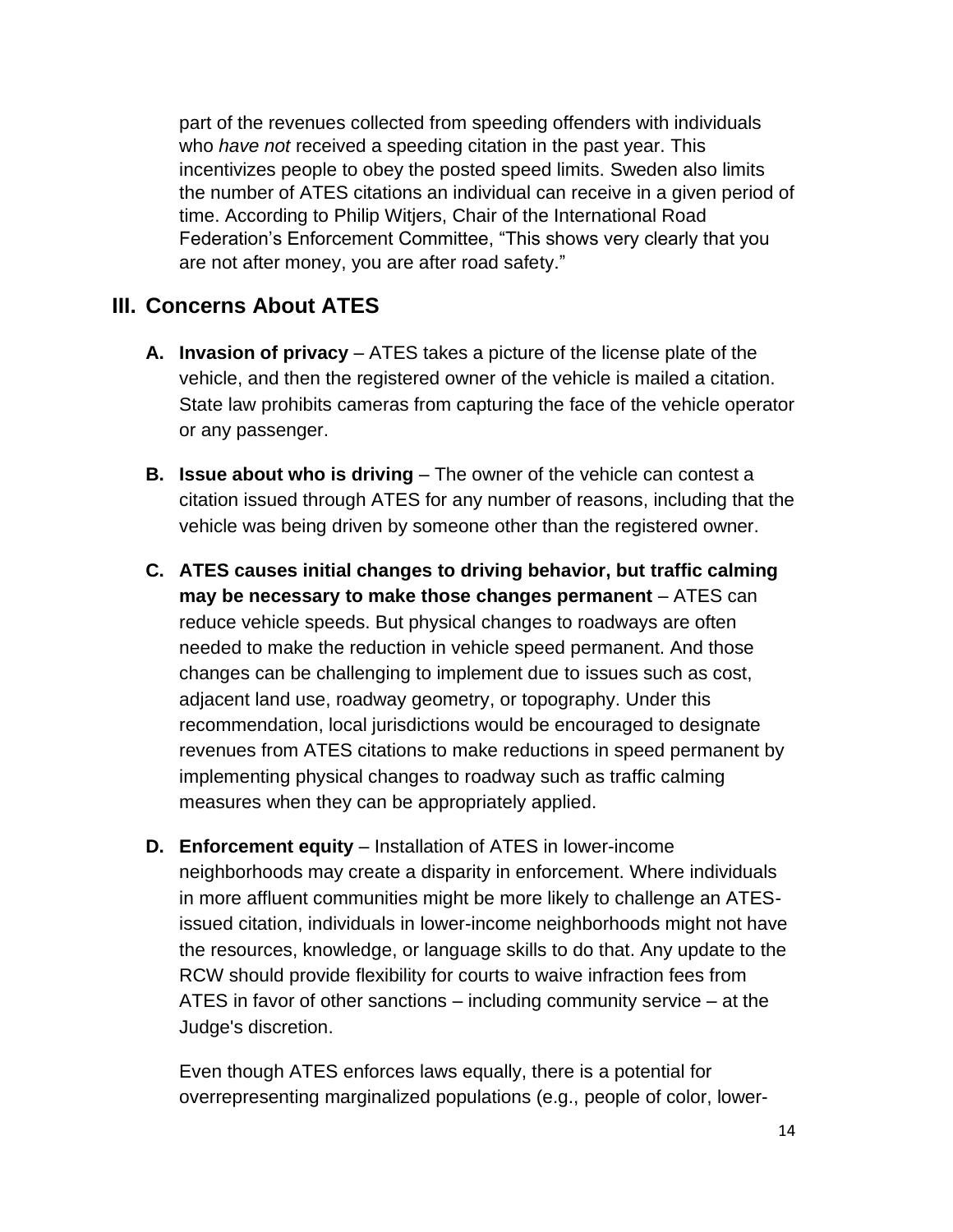part of the revenues collected from speeding offenders with individuals who *have not* received a speeding citation in the past year. This incentivizes people to obey the posted speed limits. Sweden also limits the number of ATES citations an individual can receive in a given period of time. According to Philip Witjers, Chair of the International Road Federation's Enforcement Committee, "This shows very clearly that you are not after money, you are after road safety."

#### **III. Concerns About ATES**

- **A. Invasion of privacy**  ATES takes a picture of the license plate of the vehicle, and then the registered owner of the vehicle is mailed a citation. State law prohibits cameras from capturing the face of the vehicle operator or any passenger.
- **B. Issue about who is driving** The owner of the vehicle can contest a citation issued through ATES for any number of reasons, including that the vehicle was being driven by someone other than the registered owner.
- **C. ATES causes initial changes to driving behavior, but traffic calming may be necessary to make those changes permanent** – ATES can reduce vehicle speeds. But physical changes to roadways are often needed to make the reduction in vehicle speed permanent. And those changes can be challenging to implement due to issues such as cost, adjacent land use, roadway geometry, or topography. Under this recommendation, local jurisdictions would be encouraged to designate revenues from ATES citations to make reductions in speed permanent by implementing physical changes to roadway such as traffic calming measures when they can be appropriately applied.
- **D. Enforcement equity**  Installation of ATES in lower-income neighborhoods may create a disparity in enforcement. Where individuals in more affluent communities might be more likely to challenge an ATESissued citation, individuals in lower-income neighborhoods might not have the resources, knowledge, or language skills to do that. Any update to the RCW should provide flexibility for courts to waive infraction fees from ATES in favor of other sanctions – including community service – at the Judge's discretion.

Even though ATES enforces laws equally, there is a potential for overrepresenting marginalized populations (e.g., people of color, lower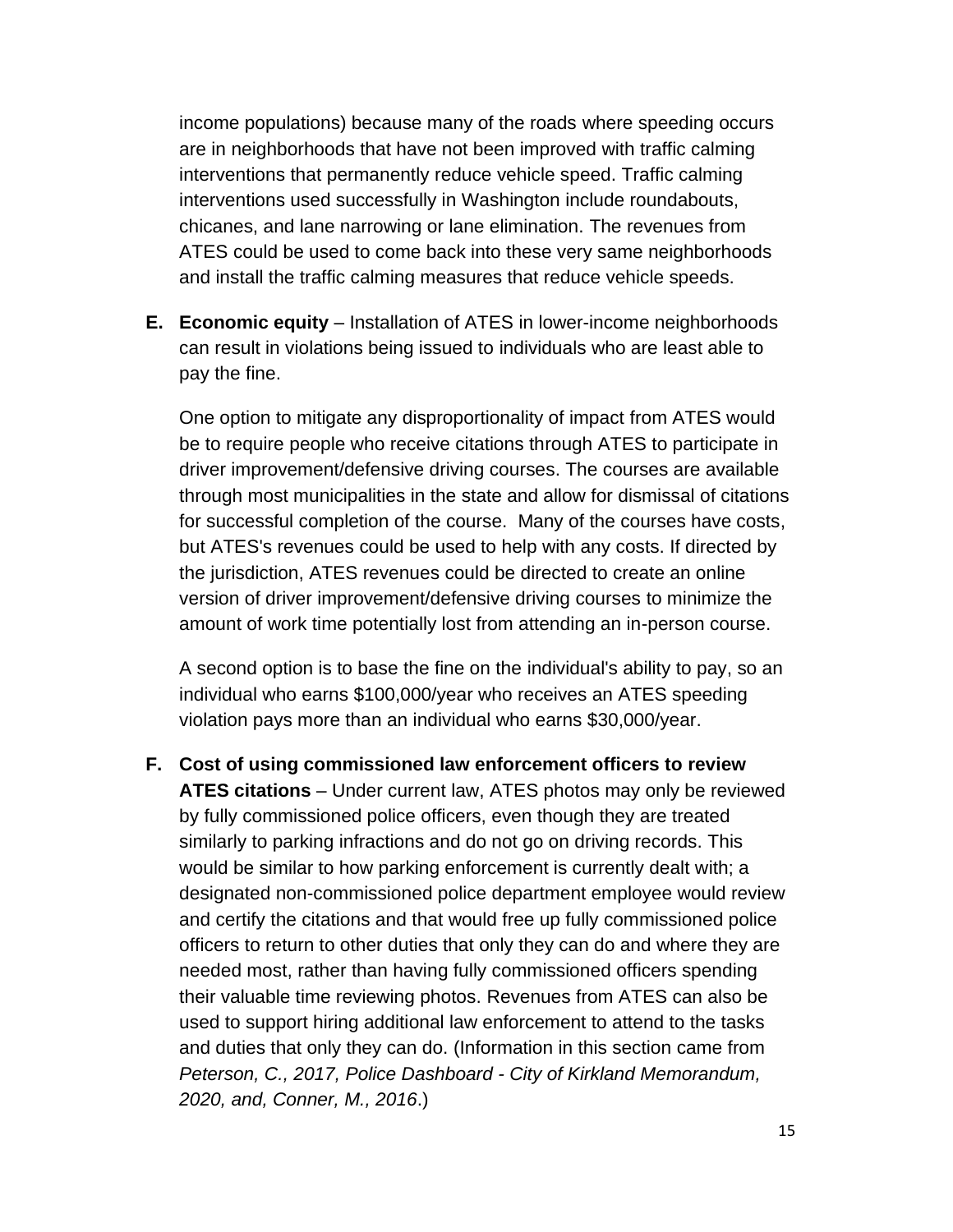income populations) because many of the roads where speeding occurs are in neighborhoods that have not been improved with traffic calming interventions that permanently reduce vehicle speed. Traffic calming interventions used successfully in Washington include roundabouts, chicanes, and lane narrowing or lane elimination. The revenues from ATES could be used to come back into these very same neighborhoods and install the traffic calming measures that reduce vehicle speeds.

**E. Economic equity** – Installation of ATES in lower-income neighborhoods can result in violations being issued to individuals who are least able to pay the fine.

One option to mitigate any disproportionality of impact from ATES would be to require people who receive citations through ATES to participate in driver improvement/defensive driving courses. The courses are available through most municipalities in the state and allow for dismissal of citations for successful completion of the course. Many of the courses have costs, but ATES's revenues could be used to help with any costs. If directed by the jurisdiction, ATES revenues could be directed to create an online version of driver improvement/defensive driving courses to minimize the amount of work time potentially lost from attending an in-person course.

A second option is to base the fine on the individual's ability to pay, so an individual who earns \$100,000/year who receives an ATES speeding violation pays more than an individual who earns \$30,000/year.

**F. Cost of using commissioned law enforcement officers to review ATES citations** – Under current law, ATES photos may only be reviewed by fully commissioned police officers, even though they are treated similarly to parking infractions and do not go on driving records. This would be similar to how parking enforcement is currently dealt with; a designated non-commissioned police department employee would review and certify the citations and that would free up fully commissioned police officers to return to other duties that only they can do and where they are needed most, rather than having fully commissioned officers spending their valuable time reviewing photos. Revenues from ATES can also be used to support hiring additional law enforcement to attend to the tasks and duties that only they can do. (Information in this section came from *Peterson, C., 2017, Police Dashboard - City of Kirkland Memorandum, 2020, and, Conner, M., 2016*.)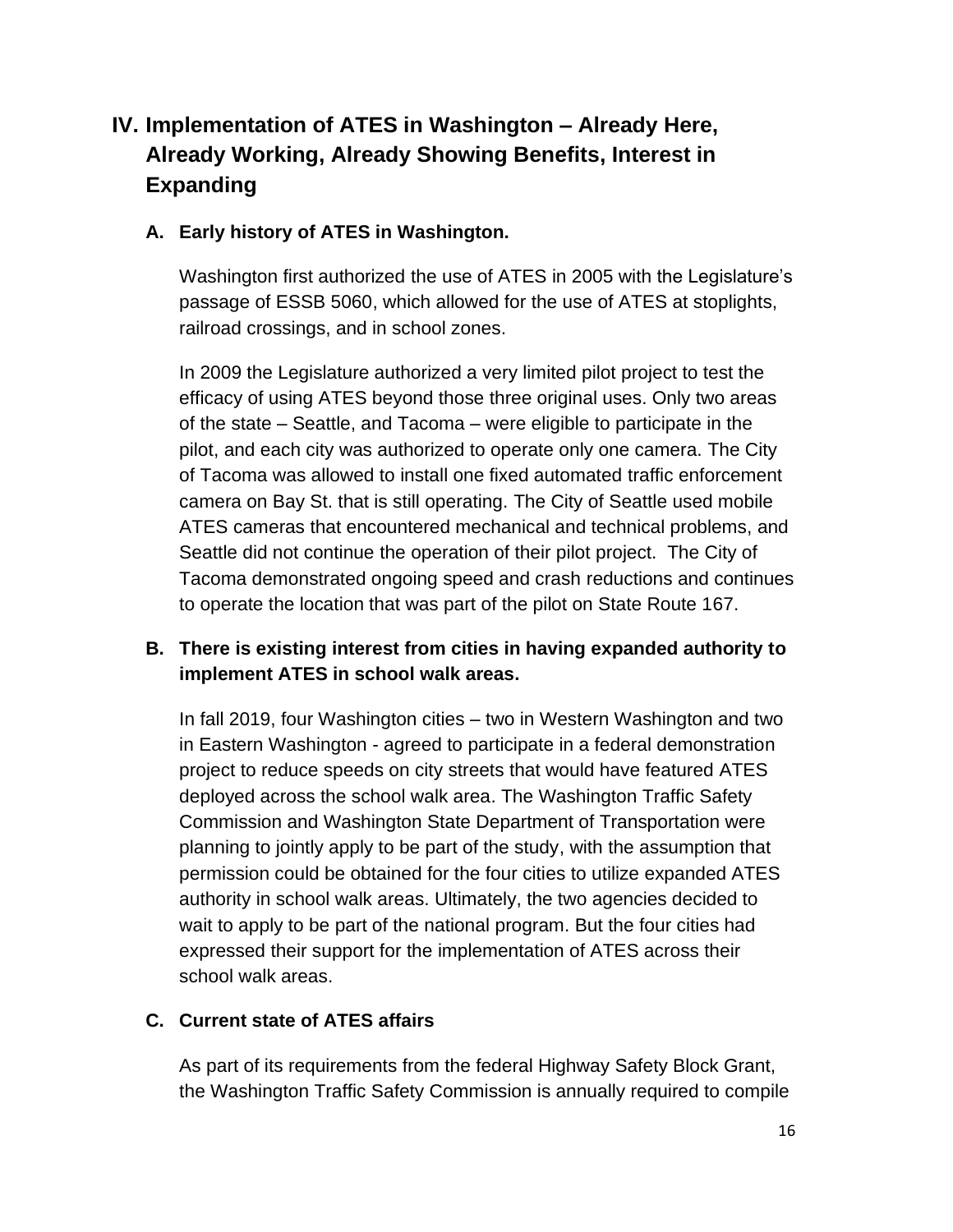## **IV. Implementation of ATES in Washington – Already Here, Already Working, Already Showing Benefits, Interest in Expanding**

#### **A. Early history of ATES in Washington.**

Washington first authorized the use of ATES in 2005 with the Legislature's passage of ESSB 5060, which allowed for the use of ATES at stoplights, railroad crossings, and in school zones.

In 2009 the Legislature authorized a very limited pilot project to test the efficacy of using ATES beyond those three original uses. Only two areas of the state – Seattle, and Tacoma – were eligible to participate in the pilot, and each city was authorized to operate only one camera. The City of Tacoma was allowed to install one fixed automated traffic enforcement camera on Bay St. that is still operating. The City of Seattle used mobile ATES cameras that encountered mechanical and technical problems, and Seattle did not continue the operation of their pilot project. The City of Tacoma demonstrated ongoing speed and crash reductions and continues to operate the location that was part of the pilot on State Route 167.

#### **B. There is existing interest from cities in having expanded authority to implement ATES in school walk areas.**

In fall 2019, four Washington cities – two in Western Washington and two in Eastern Washington - agreed to participate in a federal demonstration project to reduce speeds on city streets that would have featured ATES deployed across the school walk area. The Washington Traffic Safety Commission and Washington State Department of Transportation were planning to jointly apply to be part of the study, with the assumption that permission could be obtained for the four cities to utilize expanded ATES authority in school walk areas. Ultimately, the two agencies decided to wait to apply to be part of the national program. But the four cities had expressed their support for the implementation of ATES across their school walk areas.

#### **C. Current state of ATES affairs**

As part of its requirements from the federal Highway Safety Block Grant, the Washington Traffic Safety Commission is annually required to compile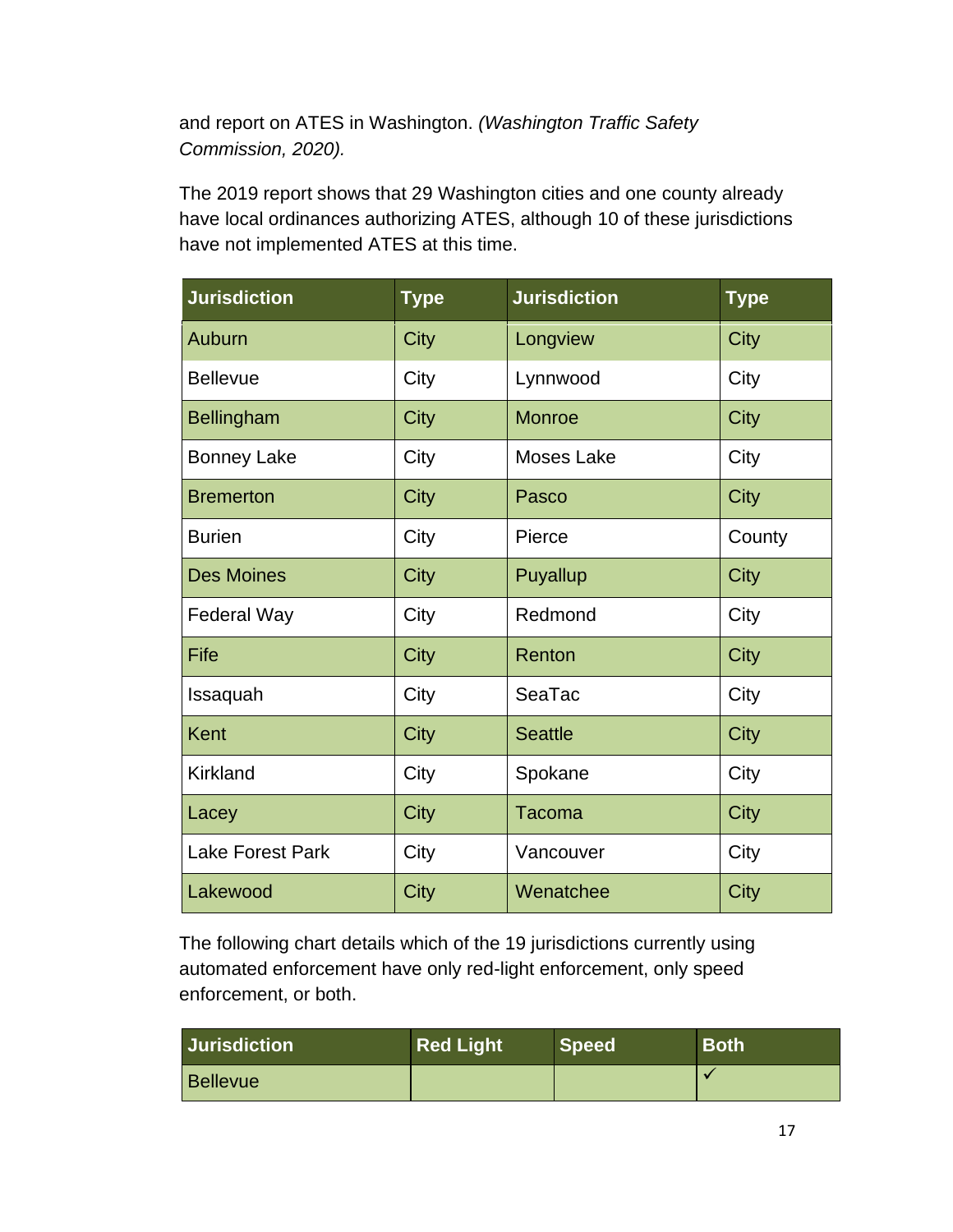and report on ATES in Washington. *(Washington Traffic Safety Commission, 2020).*

The 2019 report shows that 29 Washington cities and one county already have local ordinances authorizing ATES, although 10 of these jurisdictions have not implemented ATES at this time.

| <b>Jurisdiction</b>     | <b>Type</b> | <b>Jurisdiction</b> | <b>Type</b> |
|-------------------------|-------------|---------------------|-------------|
| Auburn                  | <b>City</b> | Longview            | City        |
| <b>Bellevue</b>         | City        | Lynnwood            | City        |
| <b>Bellingham</b>       | <b>City</b> | <b>Monroe</b>       | City        |
| <b>Bonney Lake</b>      | City        | <b>Moses Lake</b>   | City        |
| <b>Bremerton</b>        | City        | Pasco               | <b>City</b> |
| <b>Burien</b>           | City        | Pierce              | County      |
| <b>Des Moines</b>       | City        | Puyallup            | City        |
| <b>Federal Way</b>      | City        | Redmond             | City        |
| Fife                    | City        | Renton              | City        |
| Issaquah                | City        | SeaTac              |             |
| Kent                    | City        | <b>Seattle</b>      | City        |
| <b>Kirkland</b>         | City        | Spokane             | City        |
| Lacey                   | <b>City</b> | <b>Tacoma</b>       | City        |
| <b>Lake Forest Park</b> | City        | Vancouver           | City        |
| Lakewood                | City        | Wenatchee           | City        |

The following chart details which of the 19 jurisdictions currently using automated enforcement have only red-light enforcement, only speed enforcement, or both.

| <b>Jurisdiction</b> | <b>Red Light</b> | <b>Speed</b> | <b>Both</b> |
|---------------------|------------------|--------------|-------------|
| Bellevue            |                  |              |             |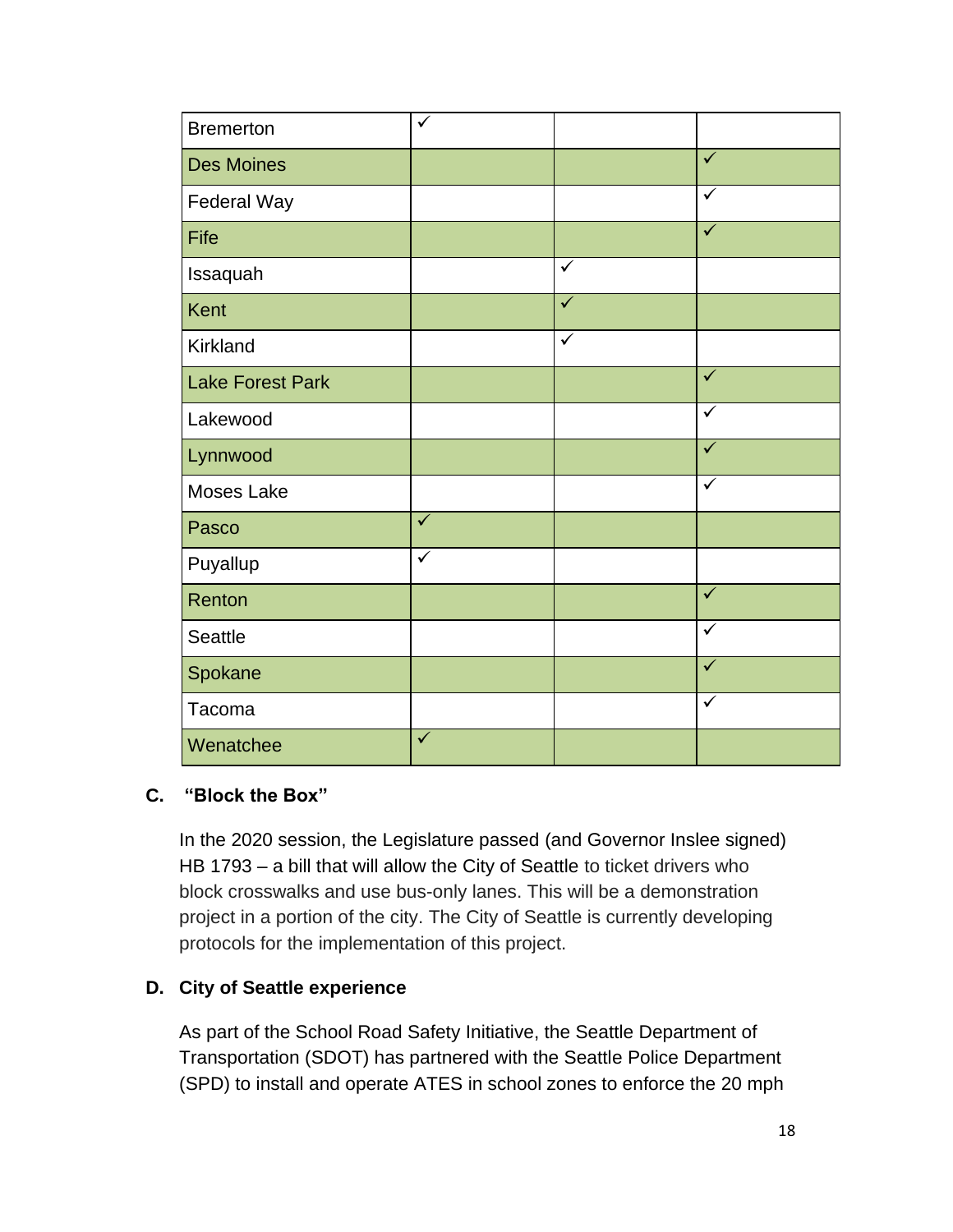| <b>Bremerton</b>        | ✓                       |                         |                         |
|-------------------------|-------------------------|-------------------------|-------------------------|
| <b>Des Moines</b>       |                         |                         | $\checkmark$            |
| Federal Way             |                         |                         | $\checkmark$            |
| Fife                    |                         |                         | $\overline{\checkmark}$ |
| Issaquah                |                         | $\checkmark$            |                         |
| <b>Kent</b>             |                         | $\overline{\checkmark}$ |                         |
| <b>Kirkland</b>         |                         | $\checkmark$            |                         |
| <b>Lake Forest Park</b> |                         |                         | $\checkmark$            |
| Lakewood                |                         |                         | $\checkmark$            |
| Lynnwood                |                         |                         | $\checkmark$            |
| Moses Lake              |                         |                         | $\checkmark$            |
| Pasco                   | $\overline{\checkmark}$ |                         |                         |
| Puyallup                | $\checkmark$            |                         |                         |
| Renton                  |                         |                         | $\checkmark$            |
| <b>Seattle</b>          |                         |                         | $\checkmark$            |
| Spokane                 |                         |                         | $\checkmark$            |
| Tacoma                  |                         |                         | $\checkmark$            |
| Wenatchee               | $\checkmark$            |                         |                         |

#### **C. "Block the Box"**

In the 2020 session, the Legislature passed (and Governor Inslee signed) HB 1793 – a bill that will allow the City of Seattle to ticket drivers who block crosswalks and use bus-only lanes. This will be a demonstration project in a portion of the city. The City of Seattle is currently developing protocols for the implementation of this project.

#### **D. City of Seattle experience**

As part of the School Road Safety Initiative, the Seattle Department of Transportation (SDOT) has partnered with the Seattle Police Department (SPD) to install and operate ATES in school zones to enforce the 20 mph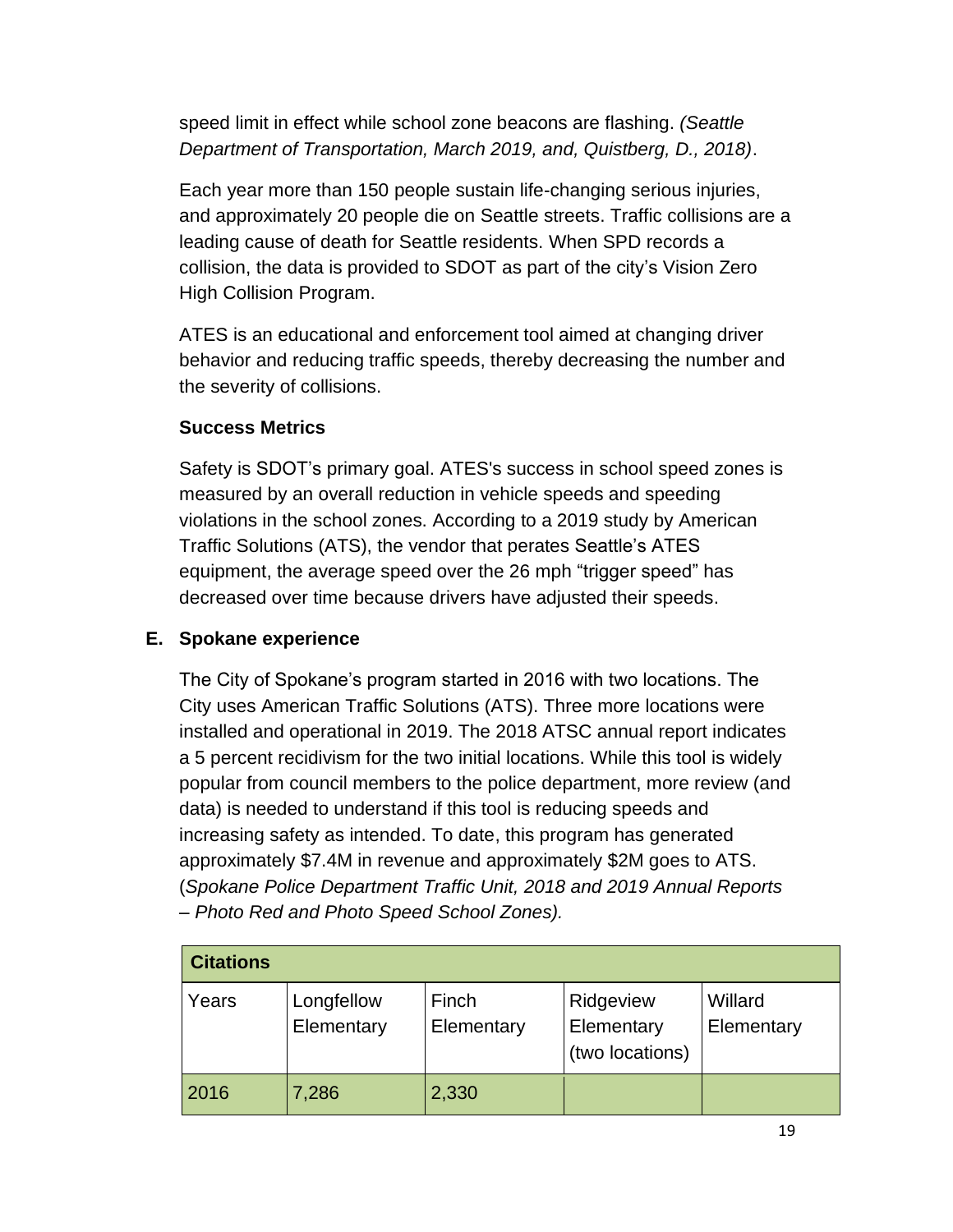speed limit in effect while school zone beacons are flashing. *(Seattle Department of Transportation, March 2019, and, Quistberg, D., 2018)*.

Each year more than 150 people sustain life-changing serious injuries, and approximately 20 people die on Seattle streets. Traffic collisions are a leading cause of death for Seattle residents. When SPD records a collision, the data is provided to SDOT as part of the city's Vision Zero High Collision Program.

ATES is an educational and enforcement tool aimed at changing driver behavior and reducing traffic speeds, thereby decreasing the number and the severity of collisions.

#### **Success Metrics**

Safety is SDOT's primary goal. ATES's success in school speed zones is measured by an overall reduction in vehicle speeds and speeding violations in the school zones. According to a 2019 study by American Traffic Solutions (ATS), the vendor that perates Seattle's ATES equipment, the average speed over the 26 mph "trigger speed" has decreased over time because drivers have adjusted their speeds.

#### **E. Spokane experience**

The City of Spokane's program started in 2016 with two locations. The City uses American Traffic Solutions (ATS). Three more locations were installed and operational in 2019. The 2018 ATSC annual report indicates a 5 percent recidivism for the two initial locations. While this tool is widely popular from council members to the police department, more review (and data) is needed to understand if this tool is reducing speeds and increasing safety as intended. To date, this program has generated approximately \$7.4M in revenue and approximately \$2M goes to ATS. (*Spokane Police Department Traffic Unit, 2018 and 2019 Annual Reports – Photo Red and Photo Speed School Zones).*

| <b>Citations</b> |                          |                     |                                            |                       |
|------------------|--------------------------|---------------------|--------------------------------------------|-----------------------|
| Years            | Longfellow<br>Elementary | Finch<br>Elementary | Ridgeview<br>Elementary<br>(two locations) | Willard<br>Elementary |
| 2016             | 7,286                    | 2,330               |                                            |                       |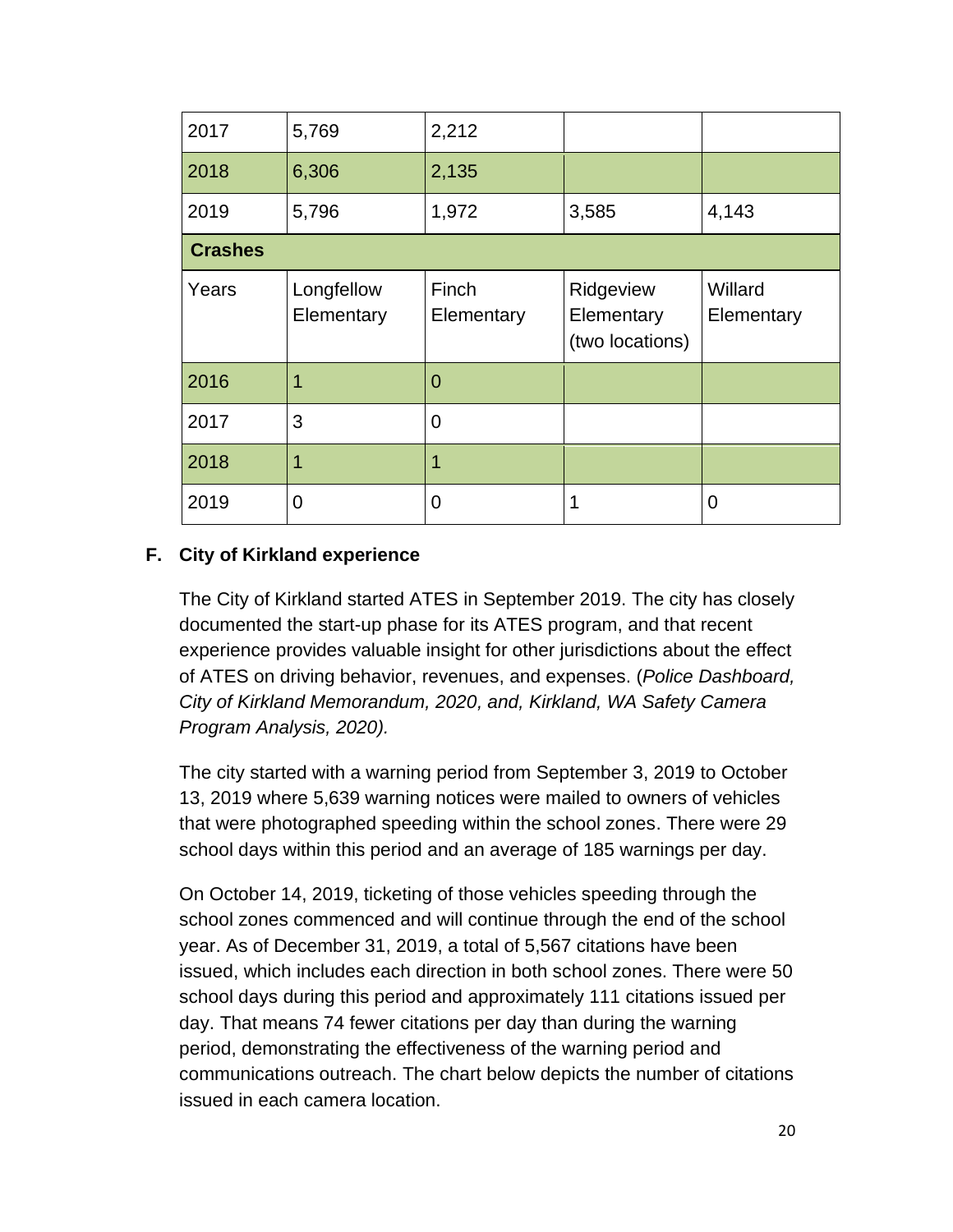| 2017           | 5,769                    | 2,212               |                                            |                       |
|----------------|--------------------------|---------------------|--------------------------------------------|-----------------------|
| 2018           | 6,306                    | 2,135               |                                            |                       |
| 2019           | 5,796                    | 1,972               | 3,585                                      | 4,143                 |
| <b>Crashes</b> |                          |                     |                                            |                       |
| Years          | Longfellow<br>Elementary | Finch<br>Elementary | Ridgeview<br>Elementary<br>(two locations) | Willard<br>Elementary |
| 2016           |                          | $\Omega$            |                                            |                       |
| 2017           | 3                        | $\overline{0}$      |                                            |                       |
| 2018           |                          |                     |                                            |                       |
| 2019           | 0                        | O                   | 1                                          | 0                     |

#### **F. City of Kirkland experience**

The City of Kirkland started ATES in September 2019. The city has closely documented the start-up phase for its ATES program, and that recent experience provides valuable insight for other jurisdictions about the effect of ATES on driving behavior, revenues, and expenses. (*Police Dashboard, City of Kirkland Memorandum, 2020, and, Kirkland, WA Safety Camera Program Analysis, 2020).*

The city started with a warning period from September 3, 2019 to October 13, 2019 where 5,639 warning notices were mailed to owners of vehicles that were photographed speeding within the school zones. There were 29 school days within this period and an average of 185 warnings per day.

On October 14, 2019, ticketing of those vehicles speeding through the school zones commenced and will continue through the end of the school year. As of December 31, 2019, a total of 5,567 citations have been issued, which includes each direction in both school zones. There were 50 school days during this period and approximately 111 citations issued per day. That means 74 fewer citations per day than during the warning period, demonstrating the effectiveness of the warning period and communications outreach. The chart below depicts the number of citations issued in each camera location.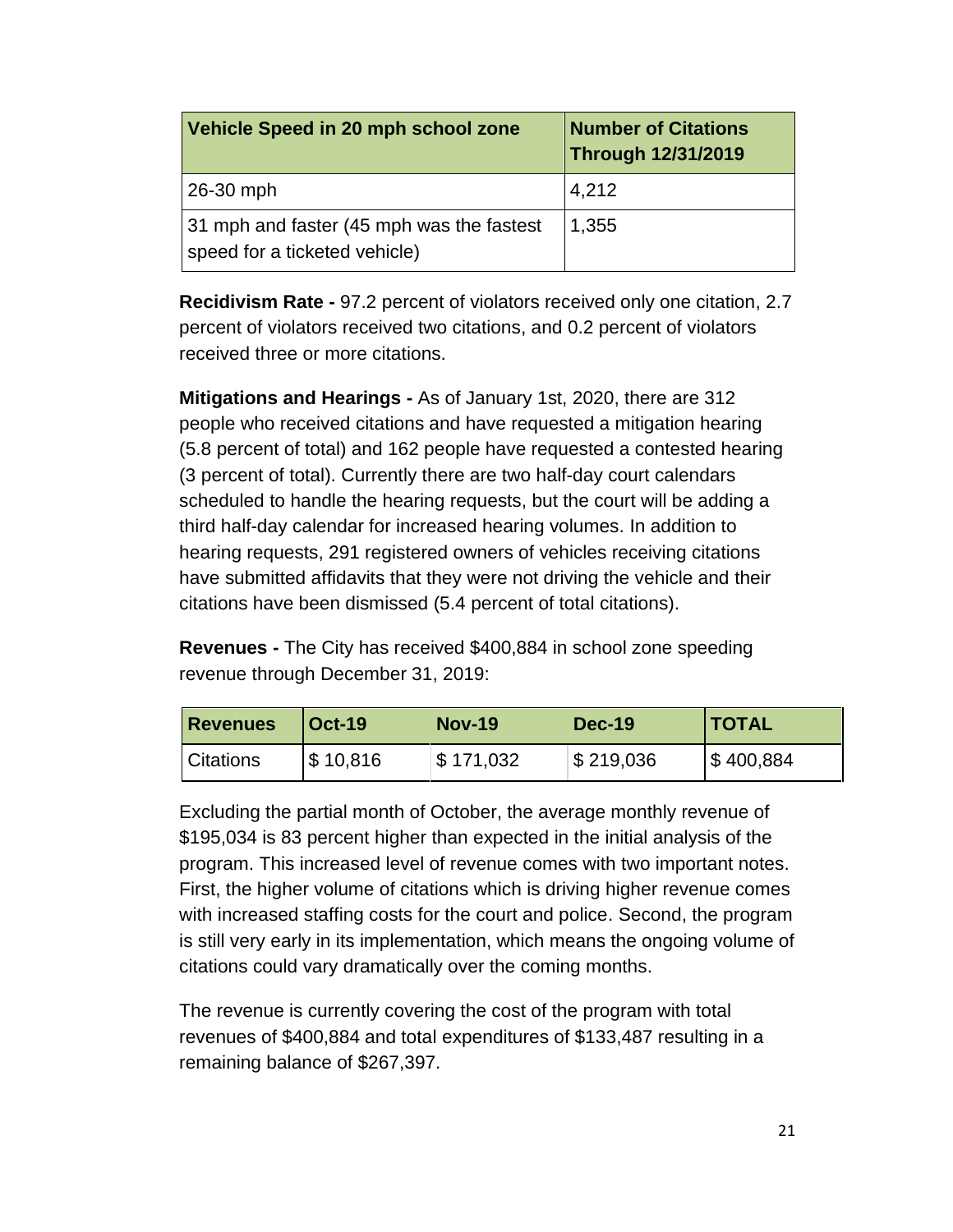| Vehicle Speed in 20 mph school zone                                        | <b>Number of Citations</b><br><b>Through 12/31/2019</b> |
|----------------------------------------------------------------------------|---------------------------------------------------------|
| 26-30 mph                                                                  | 4,212                                                   |
| 31 mph and faster (45 mph was the fastest<br>speed for a ticketed vehicle) | 1,355                                                   |

**Recidivism Rate -** 97.2 percent of violators received only one citation, 2.7 percent of violators received two citations, and 0.2 percent of violators received three or more citations.

**Mitigations and Hearings -** As of January 1st, 2020, there are 312 people who received citations and have requested a mitigation hearing (5.8 percent of total) and 162 people have requested a contested hearing (3 percent of total). Currently there are two half-day court calendars scheduled to handle the hearing requests, but the court will be adding a third half-day calendar for increased hearing volumes. In addition to hearing requests, 291 registered owners of vehicles receiving citations have submitted affidavits that they were not driving the vehicle and their citations have been dismissed (5.4 percent of total citations).

**Revenues -** The City has received \$400,884 in school zone speeding revenue through December 31, 2019:

| <b>Revenues</b>  | <b>Oct-19</b> | <b>Nov-19</b> | Dec-19    | <b>ITOTAL</b> |
|------------------|---------------|---------------|-----------|---------------|
| <i>Citations</i> | \$10,816      | \$171,032     | \$219,036 | S 400,884     |

Excluding the partial month of October, the average monthly revenue of \$195,034 is 83 percent higher than expected in the initial analysis of the program. This increased level of revenue comes with two important notes. First, the higher volume of citations which is driving higher revenue comes with increased staffing costs for the court and police. Second, the program is still very early in its implementation, which means the ongoing volume of citations could vary dramatically over the coming months.

The revenue is currently covering the cost of the program with total revenues of \$400,884 and total expenditures of \$133,487 resulting in a remaining balance of \$267,397.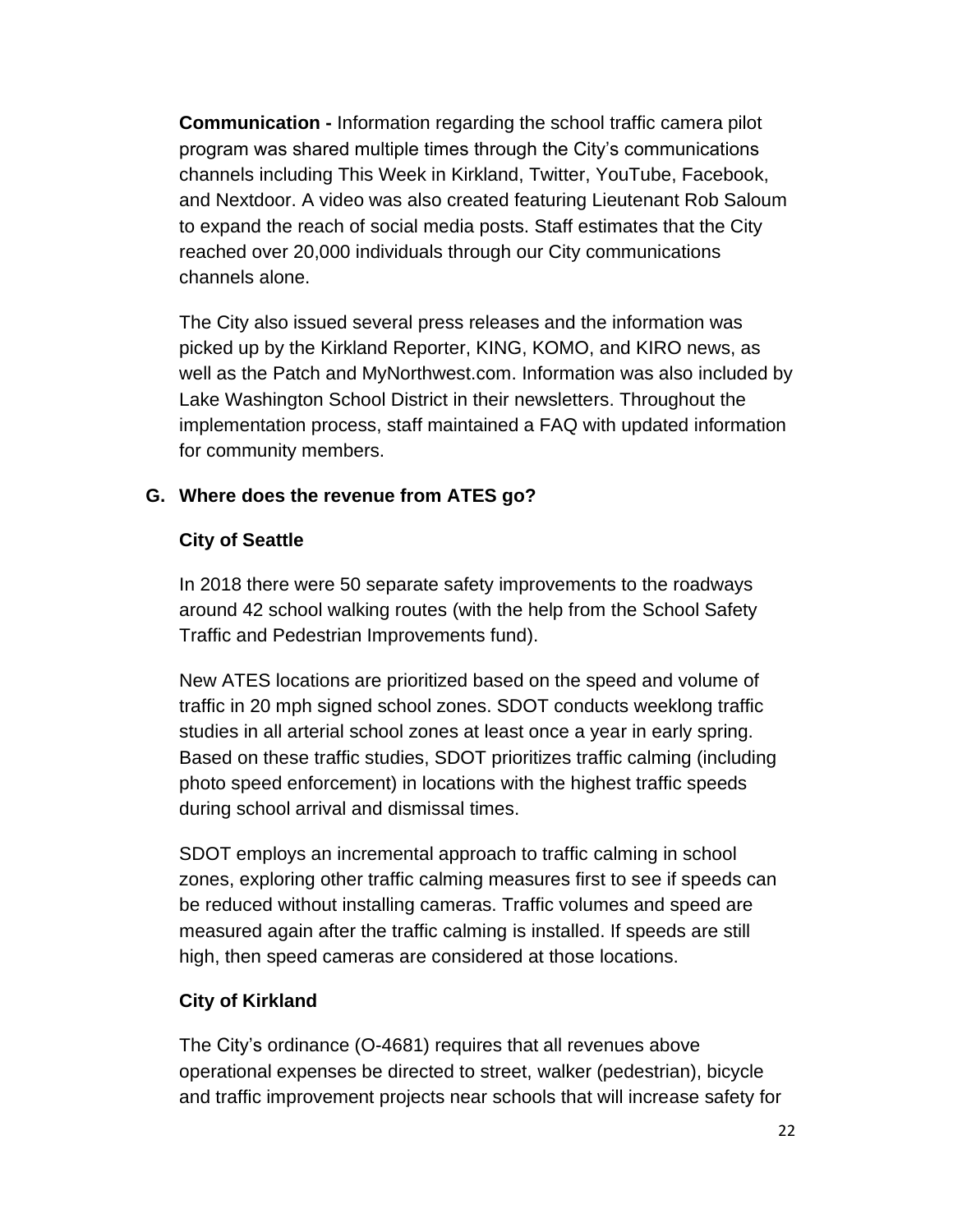**Communication -** Information regarding the school traffic camera pilot program was shared multiple times through the City's communications channels including This Week in Kirkland, Twitter, YouTube, Facebook, and Nextdoor. A video was also created featuring Lieutenant Rob Saloum to expand the reach of social media posts. Staff estimates that the City reached over 20,000 individuals through our City communications channels alone.

The City also issued several press releases and the information was picked up by the Kirkland Reporter, KING, KOMO, and KIRO news, as well as the Patch and MyNorthwest.com. Information was also included by Lake Washington School District in their newsletters. Throughout the implementation process, staff maintained a FAQ with updated information for community members.

#### **G. Where does the revenue from ATES go?**

#### **City of Seattle**

In 2018 there were 50 separate safety improvements to the roadways around 42 school walking routes (with the help from the School Safety Traffic and Pedestrian Improvements fund).

New ATES locations are prioritized based on the speed and volume of traffic in 20 mph signed school zones. SDOT conducts weeklong traffic studies in all arterial school zones at least once a year in early spring. Based on these traffic studies, SDOT prioritizes traffic calming (including photo speed enforcement) in locations with the highest traffic speeds during school arrival and dismissal times.

SDOT employs an incremental approach to traffic calming in school zones, exploring other traffic calming measures first to see if speeds can be reduced without installing cameras. Traffic volumes and speed are measured again after the traffic calming is installed. If speeds are still high, then speed cameras are considered at those locations.

#### **City of Kirkland**

The City's ordinance (O-4681) requires that all revenues above operational expenses be directed to street, walker (pedestrian), bicycle and traffic improvement projects near schools that will increase safety for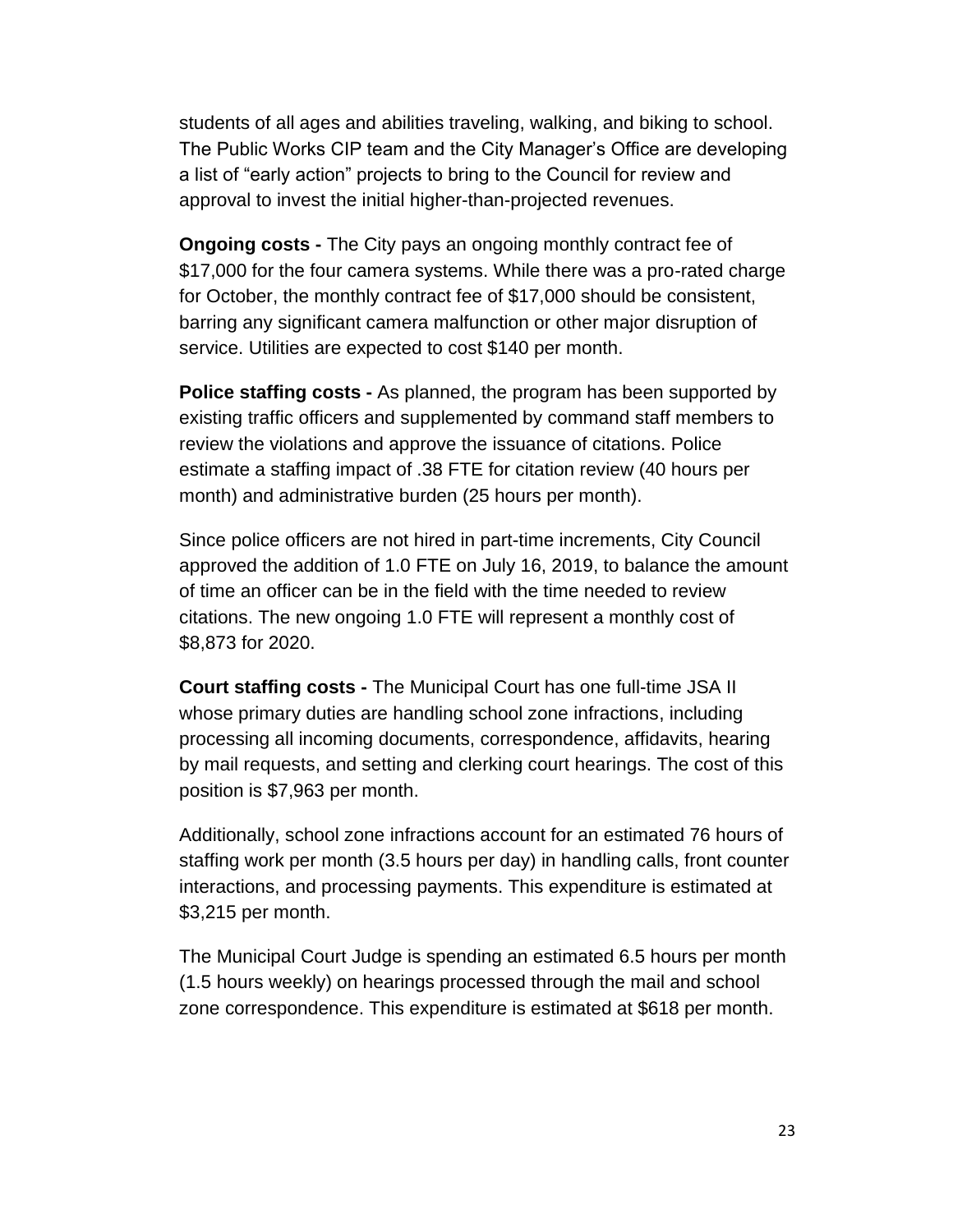students of all ages and abilities traveling, walking, and biking to school. The Public Works CIP team and the City Manager's Office are developing a list of "early action" projects to bring to the Council for review and approval to invest the initial higher-than-projected revenues.

**Ongoing costs -** The City pays an ongoing monthly contract fee of \$17,000 for the four camera systems. While there was a pro-rated charge for October, the monthly contract fee of \$17,000 should be consistent, barring any significant camera malfunction or other major disruption of service. Utilities are expected to cost \$140 per month.

**Police staffing costs -** As planned, the program has been supported by existing traffic officers and supplemented by command staff members to review the violations and approve the issuance of citations. Police estimate a staffing impact of .38 FTE for citation review (40 hours per month) and administrative burden (25 hours per month).

Since police officers are not hired in part-time increments, City Council approved the addition of 1.0 FTE on July 16, 2019, to balance the amount of time an officer can be in the field with the time needed to review citations. The new ongoing 1.0 FTE will represent a monthly cost of \$8,873 for 2020.

**Court staffing costs -** The Municipal Court has one full-time JSA II whose primary duties are handling school zone infractions, including processing all incoming documents, correspondence, affidavits, hearing by mail requests, and setting and clerking court hearings. The cost of this position is \$7,963 per month.

Additionally, school zone infractions account for an estimated 76 hours of staffing work per month (3.5 hours per day) in handling calls, front counter interactions, and processing payments. This expenditure is estimated at \$3,215 per month.

The Municipal Court Judge is spending an estimated 6.5 hours per month (1.5 hours weekly) on hearings processed through the mail and school zone correspondence. This expenditure is estimated at \$618 per month.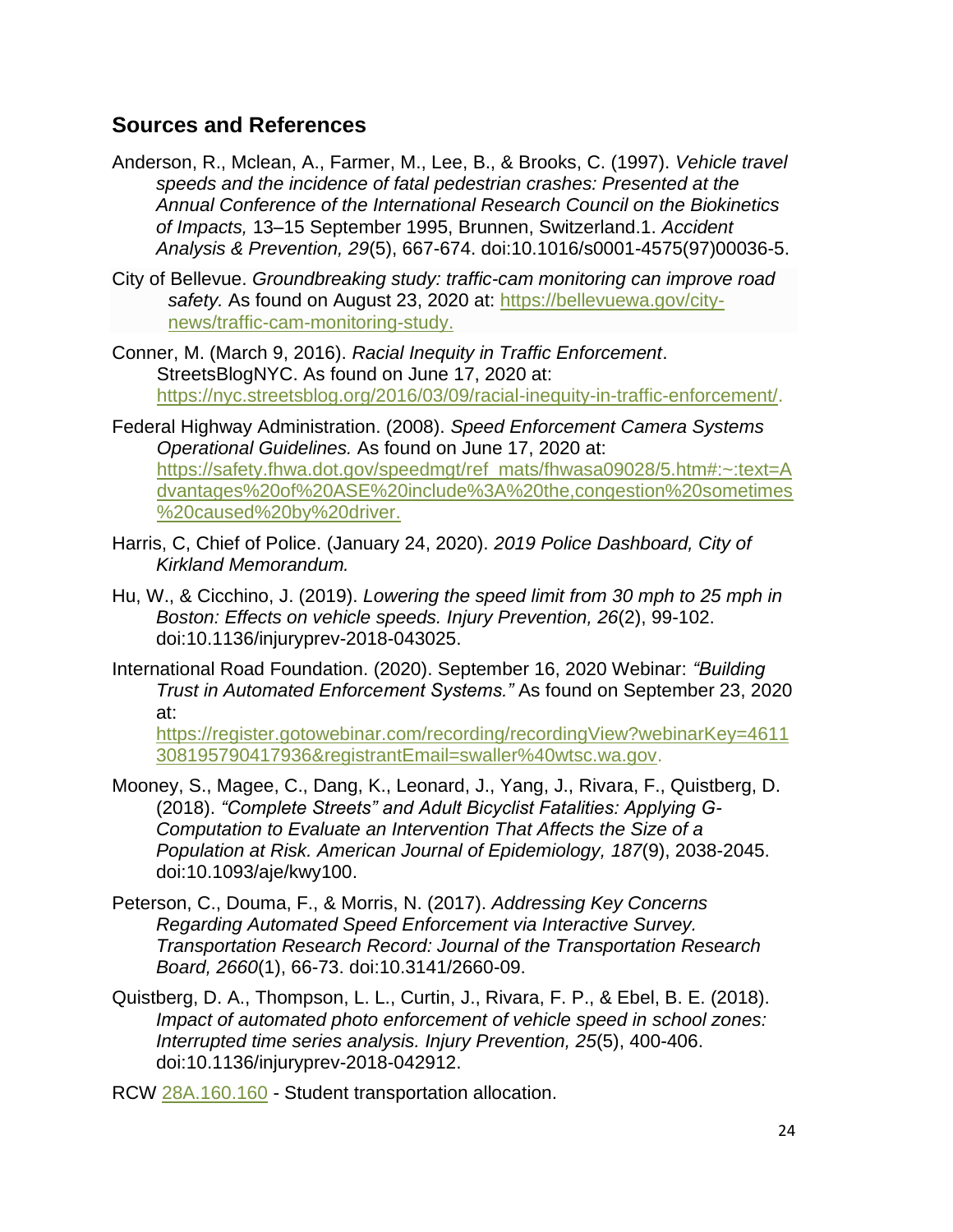#### **Sources and References**

- Anderson, R., Mclean, A., Farmer, M., Lee, B., & Brooks, C. (1997). *Vehicle travel speeds and the incidence of fatal pedestrian crashes: Presented at the Annual Conference of the International Research Council on the Biokinetics of Impacts,* 13–15 September 1995, Brunnen, Switzerland.1. *Accident Analysis & Prevention, 29*(5), 667-674. doi:10.1016/s0001-4575(97)00036-5.
- City of Bellevue. *Groundbreaking study: traffic-cam monitoring can improve road*  safety. As found on August 23, 2020 at: [https://bellevuewa.gov/city](https://bellevuewa.gov/city-news/traffic-cam-monitoring-study)[news/traffic-cam-monitoring-study.](https://bellevuewa.gov/city-news/traffic-cam-monitoring-study)
- Conner, M. (March 9, 2016). *Racial Inequity in Traffic Enforcement*. StreetsBlogNYC. As found on June 17, 2020 at: [https://nyc.streetsblog.org/2016/03/09/racial-inequity-in-traffic-enforcement/.](https://nyc.streetsblog.org/2016/03/09/racial-inequity-in-traffic-enforcement/)
- Federal Highway Administration. (2008). *Speed Enforcement Camera Systems Operational Guidelines.* As found on June 17, 2020 at: [https://safety.fhwa.dot.gov/speedmgt/ref\\_mats/fhwasa09028/5.htm#:~:text=A](https://safety.fhwa.dot.gov/speedmgt/ref_mats/fhwasa09028/5.htm#:~:text=Advantages%20of%20ASE%20include%3A%20the,congestion%20sometimes%20caused%20by%20driver) [dvantages%20of%20ASE%20include%3A%20the,congestion%20sometimes](https://safety.fhwa.dot.gov/speedmgt/ref_mats/fhwasa09028/5.htm#:~:text=Advantages%20of%20ASE%20include%3A%20the,congestion%20sometimes%20caused%20by%20driver) [%20caused%20by%20driver.](https://safety.fhwa.dot.gov/speedmgt/ref_mats/fhwasa09028/5.htm#:~:text=Advantages%20of%20ASE%20include%3A%20the,congestion%20sometimes%20caused%20by%20driver)
- Harris, C, Chief of Police. (January 24, 2020). *2019 Police Dashboard, City of Kirkland Memorandum.*
- Hu, W., & Cicchino, J. (2019). *Lowering the speed limit from 30 mph to 25 mph in Boston: Effects on vehicle speeds. Injury Prevention, 26*(2), 99-102. doi:10.1136/injuryprev-2018-043025.
- International Road Foundation. (2020). September 16, 2020 Webinar: *"Building Trust in Automated Enforcement Systems."* As found on September 23, 2020 at:

[https://register.gotowebinar.com/recording/recordingView?webinarKey=4611](https://register.gotowebinar.com/recording/recordingView?webinarKey=4611308195790417936®istrantEmail=swaller%40wtsc.wa.gov) [308195790417936&registrantEmail=swaller%40wtsc.wa.gov.](https://register.gotowebinar.com/recording/recordingView?webinarKey=4611308195790417936®istrantEmail=swaller%40wtsc.wa.gov)

- Mooney, S., Magee, C., Dang, K., Leonard, J., Yang, J., Rivara, F., Quistberg, D. (2018). *"Complete Streets" and Adult Bicyclist Fatalities: Applying G-Computation to Evaluate an Intervention That Affects the Size of a Population at Risk. American Journal of Epidemiology, 187*(9), 2038-2045. doi:10.1093/aje/kwy100.
- Peterson, C., Douma, F., & Morris, N. (2017). *Addressing Key Concerns Regarding Automated Speed Enforcement via Interactive Survey. Transportation Research Record: Journal of the Transportation Research Board, 2660*(1), 66-73. doi:10.3141/2660-09.
- Quistberg, D. A., Thompson, L. L., Curtin, J., Rivara, F. P., & Ebel, B. E. (2018). *Impact of automated photo enforcement of vehicle speed in school zones: Interrupted time series analysis. Injury Prevention, 25*(5), 400-406. doi:10.1136/injuryprev-2018-042912.

RCW [28A.160.160](http://app.leg.wa.gov/RCW/default.aspx?cite=28A.160.160) - Student transportation allocation.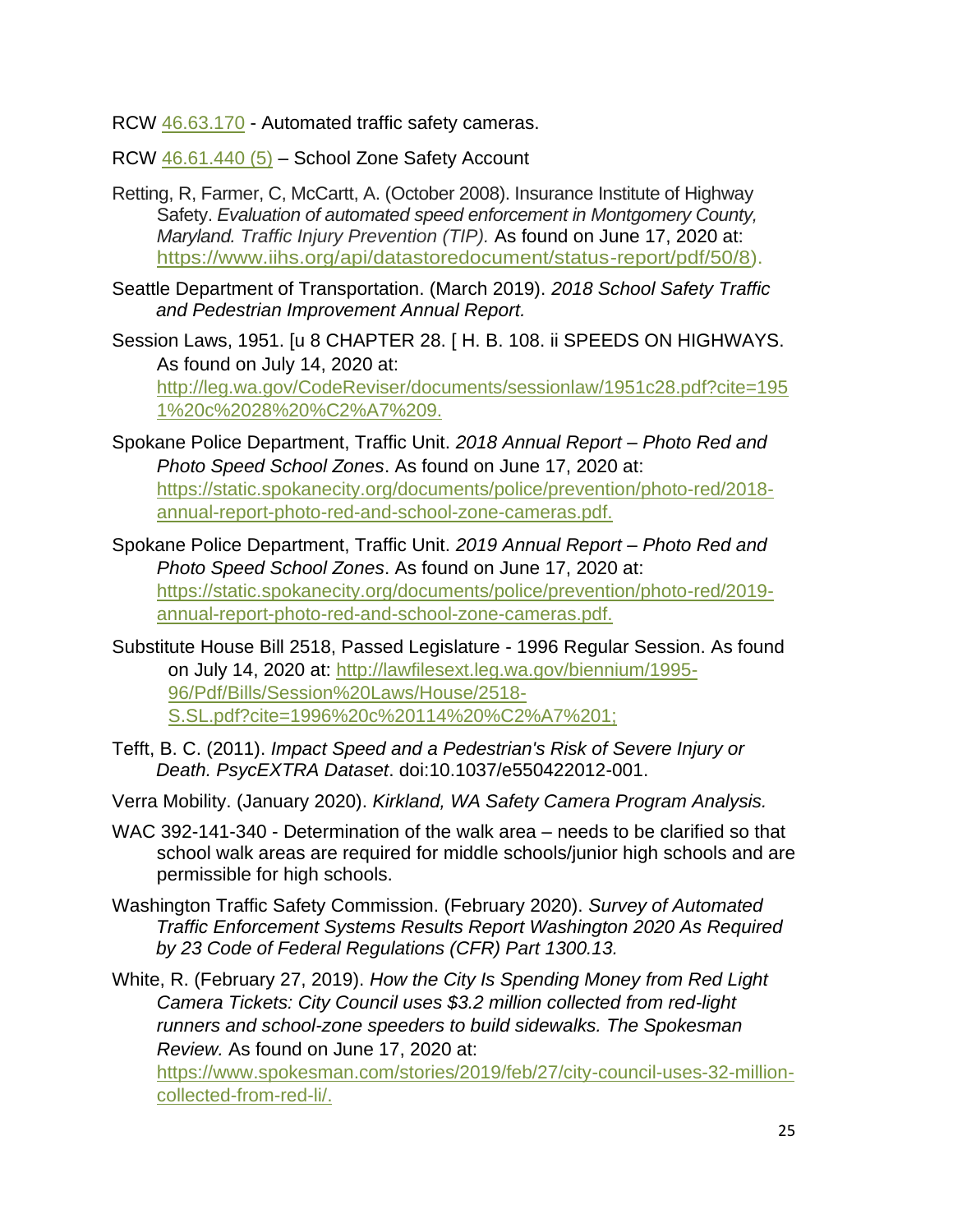RCW [46.63.170](http://app.leg.wa.gov/RCW/default.aspx?cite=46.63.170) - Automated traffic safety cameras.

[RCW 46.61.440 \(5\)](http://app.leg.wa.gov/RCW/default.aspx?cite=46.61.440) – School Zone Safety Account

- Retting, R, Farmer, C, McCartt, A. (October 2008). Insurance Institute of Highway Safety. *Evaluation of automated speed enforcement in Montgomery County, Maryland. Traffic Injury Prevention (TIP).* As found on June 17, 2020 at: [https://www.iihs.org/api/datastoredocument/status-report/pdf/50/8\)](https://www.iihs.org/api/datastoredocument/status-report/pdf/50/8).
- Seattle Department of Transportation. (March 2019). *2018 School Safety Traffic and Pedestrian Improvement Annual Report.*
- Session Laws, 1951. [u 8 CHAPTER 28. [ H. B. 108. ii SPEEDS ON HIGHWAYS. As found on July 14, 2020 at: [http://leg.wa.gov/CodeReviser/documents/sessionlaw/1951c28.pdf?cite=195](http://leg.wa.gov/CodeReviser/documents/sessionlaw/1951c28.pdf?cite=1951%20c%2028%20%C2%A7%209.) [1%20c%2028%20%C2%A7%209.](http://leg.wa.gov/CodeReviser/documents/sessionlaw/1951c28.pdf?cite=1951%20c%2028%20%C2%A7%209.)
- Spokane Police Department, Traffic Unit. *2018 Annual Report – Photo Red and Photo Speed School Zones*. As found on June 17, 2020 at: [https://static.spokanecity.org/documents/police/prevention/photo-red/2018](https://static.spokanecity.org/documents/police/prevention/photo-red/2018-annual-report-photo-red-and-school-zone-cameras.pdf) [annual-report-photo-red-and-school-zone-cameras.pdf.](https://static.spokanecity.org/documents/police/prevention/photo-red/2018-annual-report-photo-red-and-school-zone-cameras.pdf)
- Spokane Police Department, Traffic Unit. *2019 Annual Report – Photo Red and Photo Speed School Zones*. As found on June 17, 2020 at: [https://static.spokanecity.org/documents/police/prevention/photo-red/2019](https://static.spokanecity.org/documents/police/prevention/photo-red/2019-annual-report-photo-red-and-school-zone-cameras.pdf) [annual-report-photo-red-and-school-zone-cameras.pdf.](https://static.spokanecity.org/documents/police/prevention/photo-red/2019-annual-report-photo-red-and-school-zone-cameras.pdf)
- Substitute House Bill 2518, Passed Legislature 1996 Regular Session. As found on July 14, 2020 at: [http://lawfilesext.leg.wa.gov/biennium/1995-](http://lawfilesext.leg.wa.gov/biennium/1995-96/Pdf/Bills/Session%20Laws/House/2518-S.SL.pdf?cite=1996%20c%20114%20%C2%A7%201;) [96/Pdf/Bills/Session%20Laws/House/2518-](http://lawfilesext.leg.wa.gov/biennium/1995-96/Pdf/Bills/Session%20Laws/House/2518-S.SL.pdf?cite=1996%20c%20114%20%C2%A7%201;) [S.SL.pdf?cite=1996%20c%20114%20%C2%A7%201;](http://lawfilesext.leg.wa.gov/biennium/1995-96/Pdf/Bills/Session%20Laws/House/2518-S.SL.pdf?cite=1996%20c%20114%20%C2%A7%201;)
- Tefft, B. C. (2011). *Impact Speed and a Pedestrian's Risk of Severe Injury or Death. PsycEXTRA Dataset*. doi:10.1037/e550422012-001.
- Verra Mobility. (January 2020). *Kirkland, WA Safety Camera Program Analysis.*
- WAC 392-141-340 Determination of the walk area needs to be clarified so that school walk areas are required for middle schools/junior high schools and are permissible for high schools.
- Washington Traffic Safety Commission. (February 2020). *Survey of Automated Traffic Enforcement Systems Results Report Washington 2020 As Required by 23 Code of Federal Regulations (CFR) Part 1300.13.*

White, R. (February 27, 2019). *How the City Is Spending Money from Red Light Camera Tickets: City Council uses \$3.2 million collected from red-light runners and school-zone speeders to build sidewalks. The Spokesman Review.* As found on June 17, 2020 at:

[https://www.spokesman.com/stories/2019/feb/27/city-council-uses-32-million](https://www.spokesman.com/stories/2019/feb/27/city-council-uses-32-million-collected-from-red-li/)[collected-from-red-li/.](https://www.spokesman.com/stories/2019/feb/27/city-council-uses-32-million-collected-from-red-li/)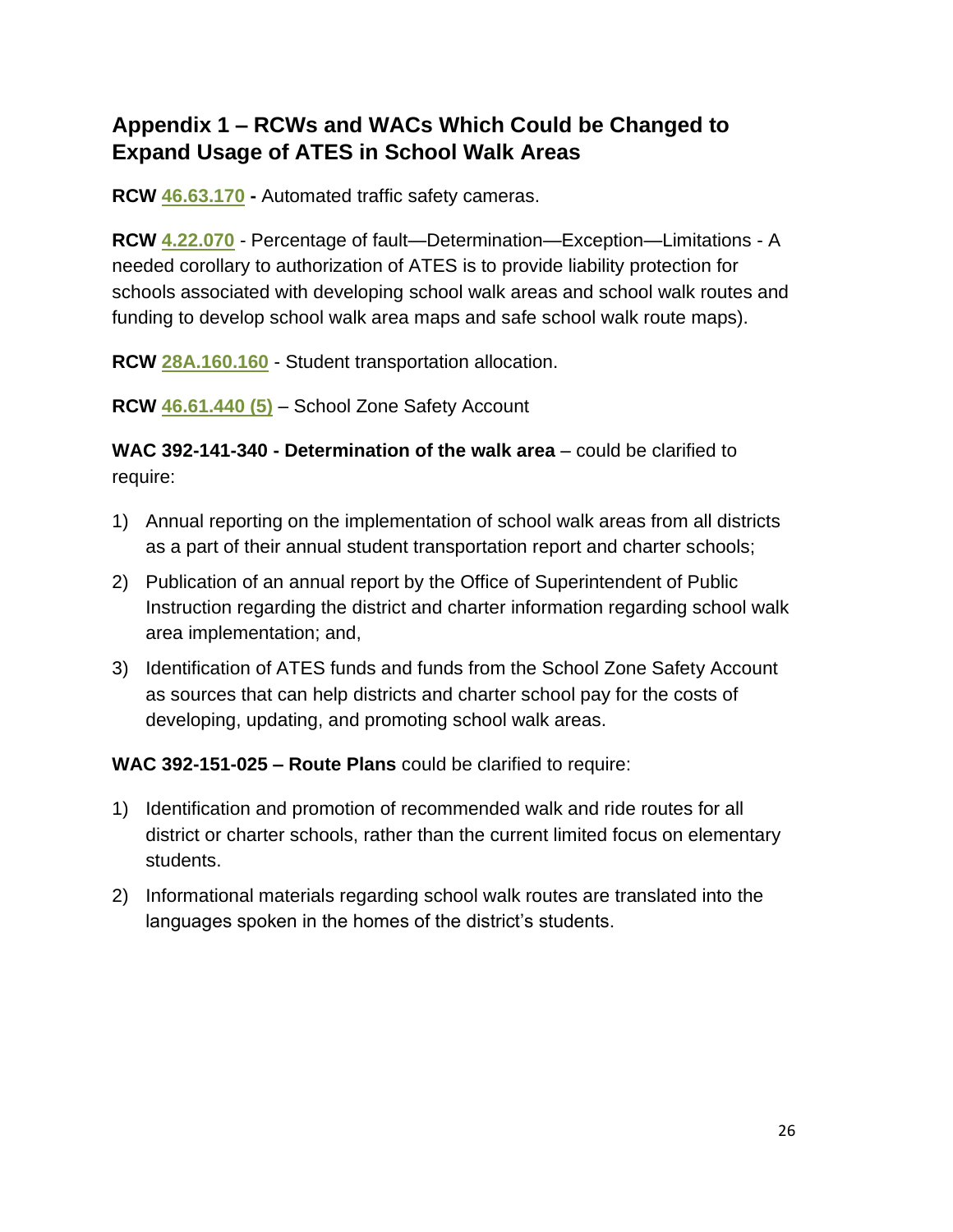## **Appendix 1 – RCWs and WACs Which Could be Changed to Expand Usage of ATES in School Walk Areas**

**RCW [46.63.170](http://app.leg.wa.gov/RCW/default.aspx?cite=46.63.170) -** Automated traffic safety cameras.

**RCW [4.22.070](http://app.leg.wa.gov/RCW/default.aspx?cite=4.22.070)** - Percentage of fault—Determination—Exception—Limitations - A needed corollary to authorization of ATES is to provide liability protection for schools associated with developing school walk areas and school walk routes and funding to develop school walk area maps and safe school walk route maps).

**RCW [28A.160.160](http://app.leg.wa.gov/RCW/default.aspx?cite=28A.160.160)** - Student transportation allocation.

**[RCW 46.61.440 \(5\)](http://app.leg.wa.gov/RCW/default.aspx?cite=46.61.440)** – School Zone Safety Account

**WAC 392-141-340 - Determination of the walk area** – could be clarified to require:

- 1) Annual reporting on the implementation of school walk areas from all districts as a part of their annual student transportation report and charter schools;
- 2) Publication of an annual report by the Office of Superintendent of Public Instruction regarding the district and charter information regarding school walk area implementation; and,
- 3) Identification of ATES funds and funds from the School Zone Safety Account as sources that can help districts and charter school pay for the costs of developing, updating, and promoting school walk areas.

**WAC 392-151-025 – Route Plans** could be clarified to require:

- 1) Identification and promotion of recommended walk and ride routes for all district or charter schools, rather than the current limited focus on elementary students.
- 2) Informational materials regarding school walk routes are translated into the languages spoken in the homes of the district's students.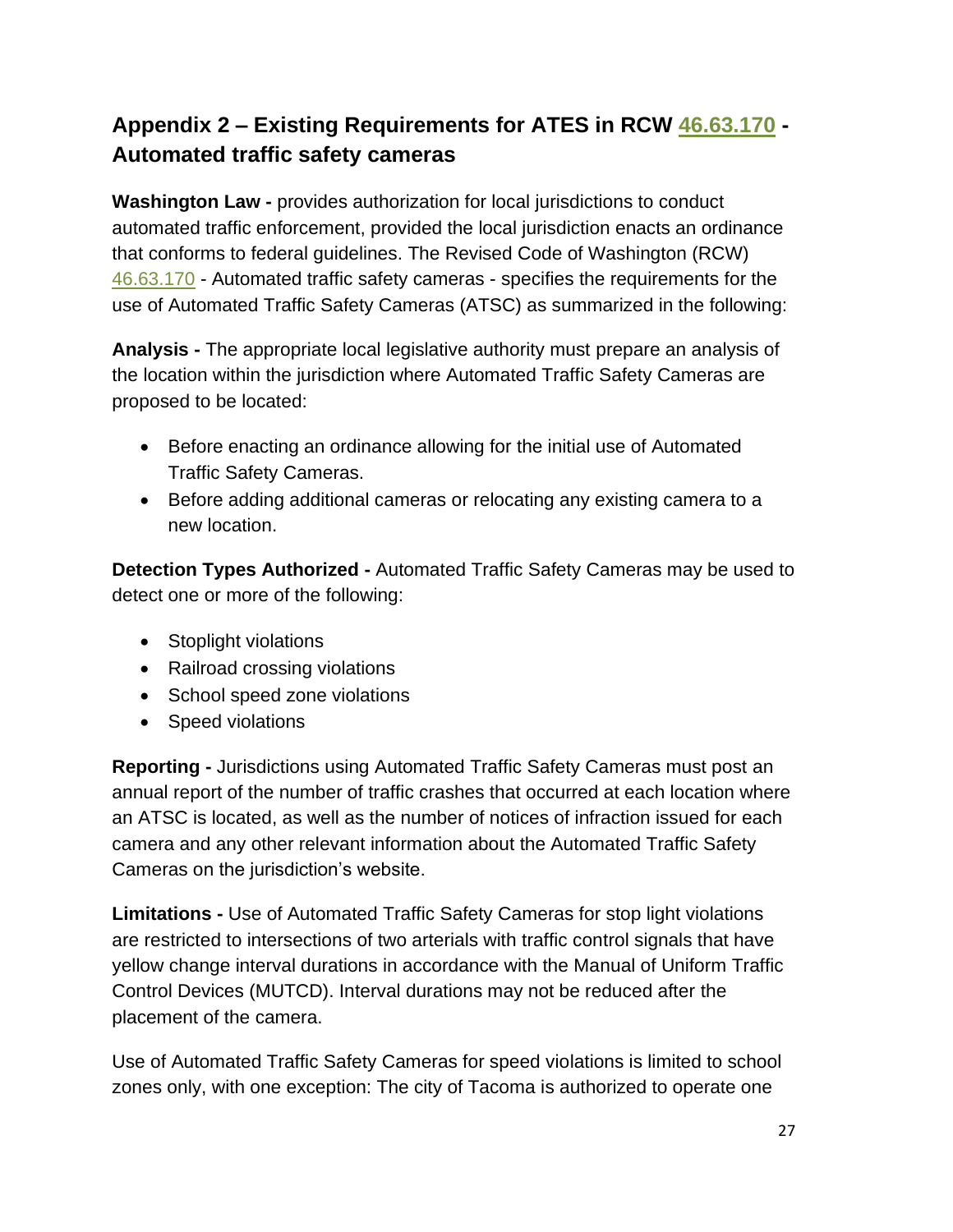## **Appendix 2 – Existing Requirements for ATES in RCW [46.63.170](http://app.leg.wa.gov/RCW/default.aspx?cite=46.63.170) - Automated traffic safety cameras**

**Washington Law -** provides authorization for local jurisdictions to conduct automated traffic enforcement, provided the local jurisdiction enacts an ordinance that conforms to federal guidelines. The Revised Code of Washington (RCW) [46.63.170](http://app.leg.wa.gov/RCW/default.aspx?cite=46.63.170) - Automated traffic safety cameras - specifies the requirements for the use of Automated Traffic Safety Cameras (ATSC) as summarized in the following:

**Analysis -** The appropriate local legislative authority must prepare an analysis of the location within the jurisdiction where Automated Traffic Safety Cameras are proposed to be located:

- Before enacting an ordinance allowing for the initial use of Automated Traffic Safety Cameras.
- Before adding additional cameras or relocating any existing camera to a new location.

**Detection Types Authorized -** Automated Traffic Safety Cameras may be used to detect one or more of the following:

- Stoplight violations
- Railroad crossing violations
- School speed zone violations
- Speed violations

**Reporting -** Jurisdictions using Automated Traffic Safety Cameras must post an annual report of the number of traffic crashes that occurred at each location where an ATSC is located, as well as the number of notices of infraction issued for each camera and any other relevant information about the Automated Traffic Safety Cameras on the jurisdiction's website.

**Limitations -** Use of Automated Traffic Safety Cameras for stop light violations are restricted to intersections of two arterials with traffic control signals that have yellow change interval durations in accordance with the Manual of Uniform Traffic Control Devices (MUTCD). Interval durations may not be reduced after the placement of the camera.

Use of Automated Traffic Safety Cameras for speed violations is limited to school zones only, with one exception: The city of Tacoma is authorized to operate one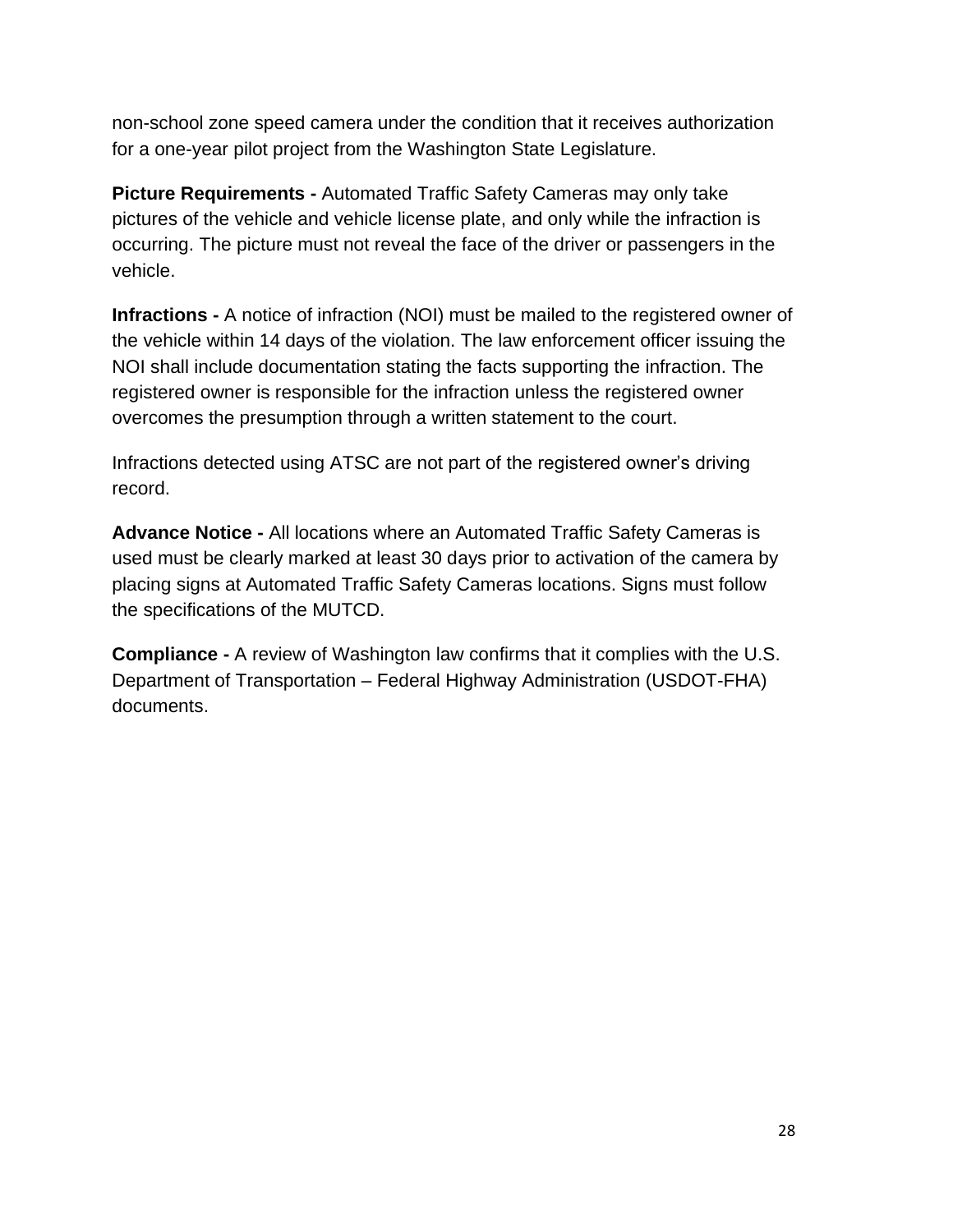non-school zone speed camera under the condition that it receives authorization for a one-year pilot project from the Washington State Legislature.

**Picture Requirements -** Automated Traffic Safety Cameras may only take pictures of the vehicle and vehicle license plate, and only while the infraction is occurring. The picture must not reveal the face of the driver or passengers in the vehicle.

**Infractions -** A notice of infraction (NOI) must be mailed to the registered owner of the vehicle within 14 days of the violation. The law enforcement officer issuing the NOI shall include documentation stating the facts supporting the infraction. The registered owner is responsible for the infraction unless the registered owner overcomes the presumption through a written statement to the court.

Infractions detected using ATSC are not part of the registered owner's driving record.

**Advance Notice -** All locations where an Automated Traffic Safety Cameras is used must be clearly marked at least 30 days prior to activation of the camera by placing signs at Automated Traffic Safety Cameras locations. Signs must follow the specifications of the MUTCD.

**Compliance -** A review of Washington law confirms that it complies with the U.S. Department of Transportation – Federal Highway Administration (USDOT-FHA) documents.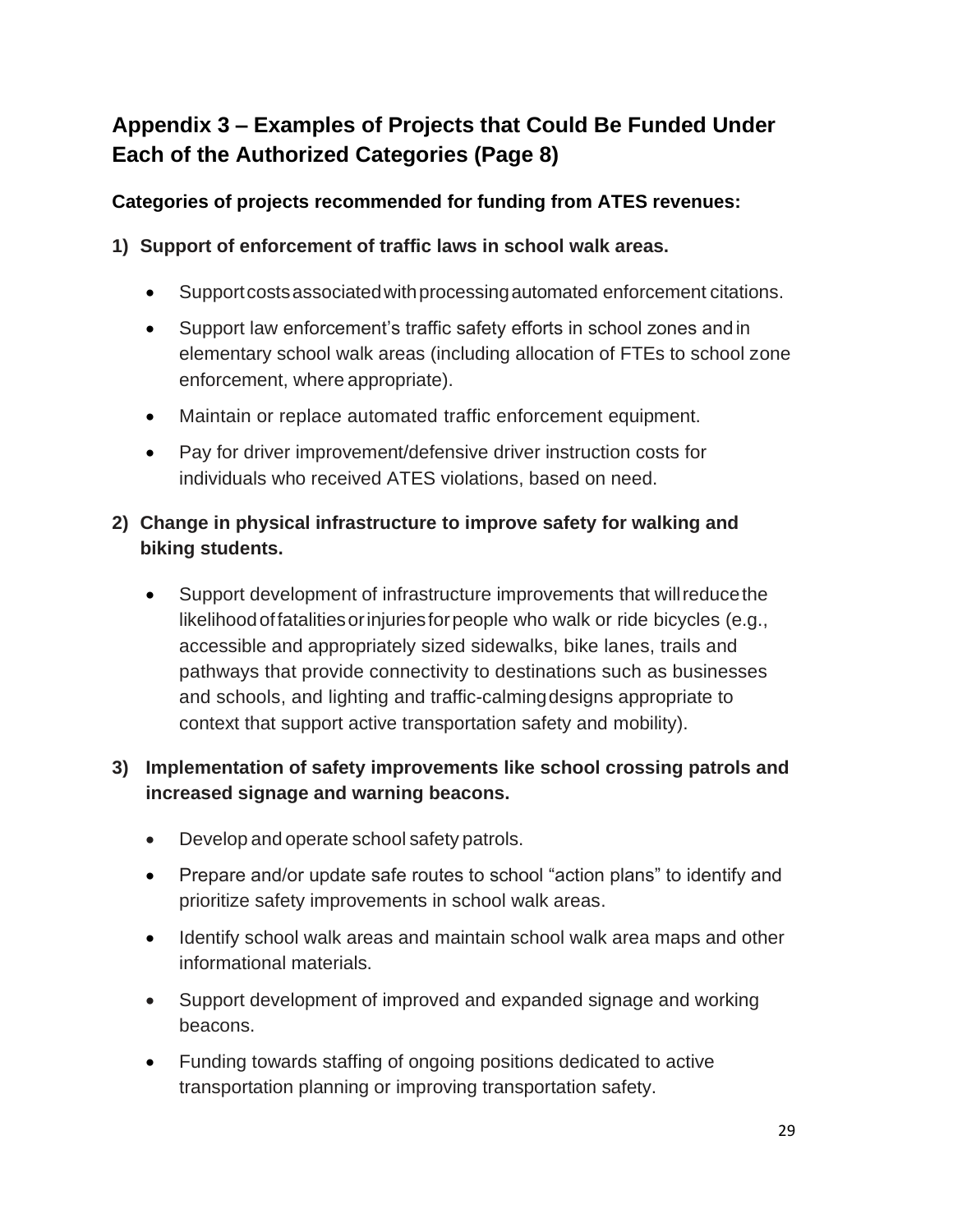## **Appendix 3 – Examples of Projects that Could Be Funded Under Each of the Authorized Categories (Page 8)**

#### **Categories of projects recommended for funding from ATES revenues:**

#### **1) Support of enforcement of traffic laws in school walk areas.**

- Support costs associated with processing automated enforcement citations.
- Support law enforcement's traffic safety efforts in school zones and in elementary school walk areas (including allocation of FTEs to school zone enforcement, where appropriate).
- Maintain or replace automated traffic enforcement equipment.
- Pay for driver improvement/defensive driver instruction costs for individuals who received ATES violations, based on need.

#### **2) Change in physical infrastructure to improve safety for walking and biking students.**

• Support development of infrastructure improvements that willreducethe likelihood of fatalities or injuries for people who walk or ride bicycles (e.g., accessible and appropriately sized sidewalks, bike lanes, trails and pathways that provide connectivity to destinations such as businesses and schools, and lighting and traffic-calmingdesigns appropriate to context that support active transportation safety and mobility).

#### **3) Implementation of safety improvements like school crossing patrols and increased signage and warning beacons.**

- Develop and operate school safety patrols.
- Prepare and/or update safe routes to school "action plans" to identify and prioritize safety improvements in school walk areas.
- Identify school walk areas and maintain school walk area maps and other informational materials.
- Support development of improved and expanded signage and working beacons.
- Funding towards staffing of ongoing positions dedicated to active transportation planning or improving transportation safety.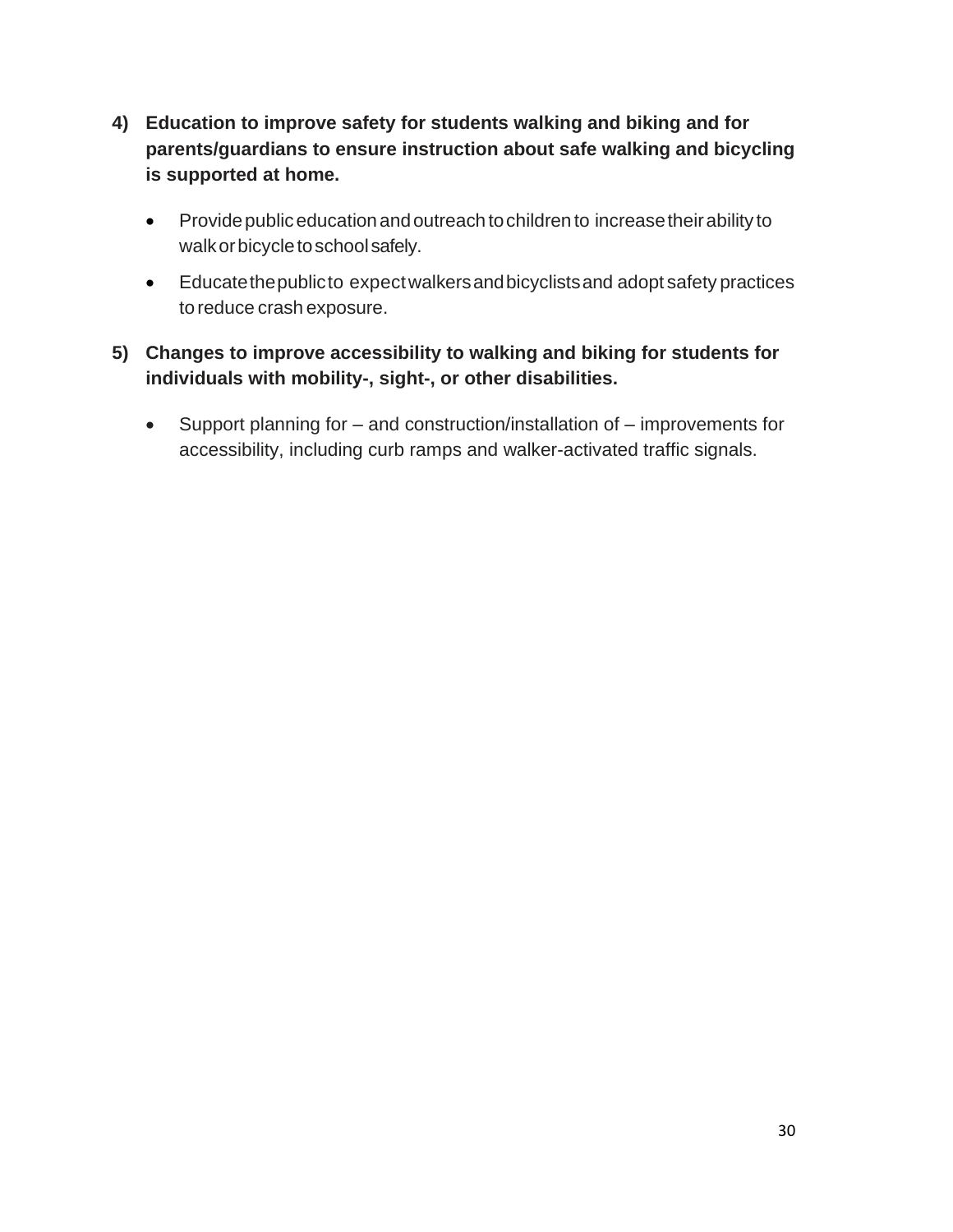- **4) Education to improve safety for students walking and biking and for parents/guardians to ensure instruction about safe walking and bicycling is supported at home.**
	- Provide public education and outreach to children to increase their ability to walk or bicycle to school safely.
	- Educatethepublicto expectwalkersandbicyclistsand adopt safety practices to reduce crash exposure.

#### **5) Changes to improve accessibility to walking and biking for students for individuals with mobility-, sight-, or other disabilities.**

• Support planning for – and construction/installation of – improvements for accessibility, including curb ramps and walker-activated traffic signals.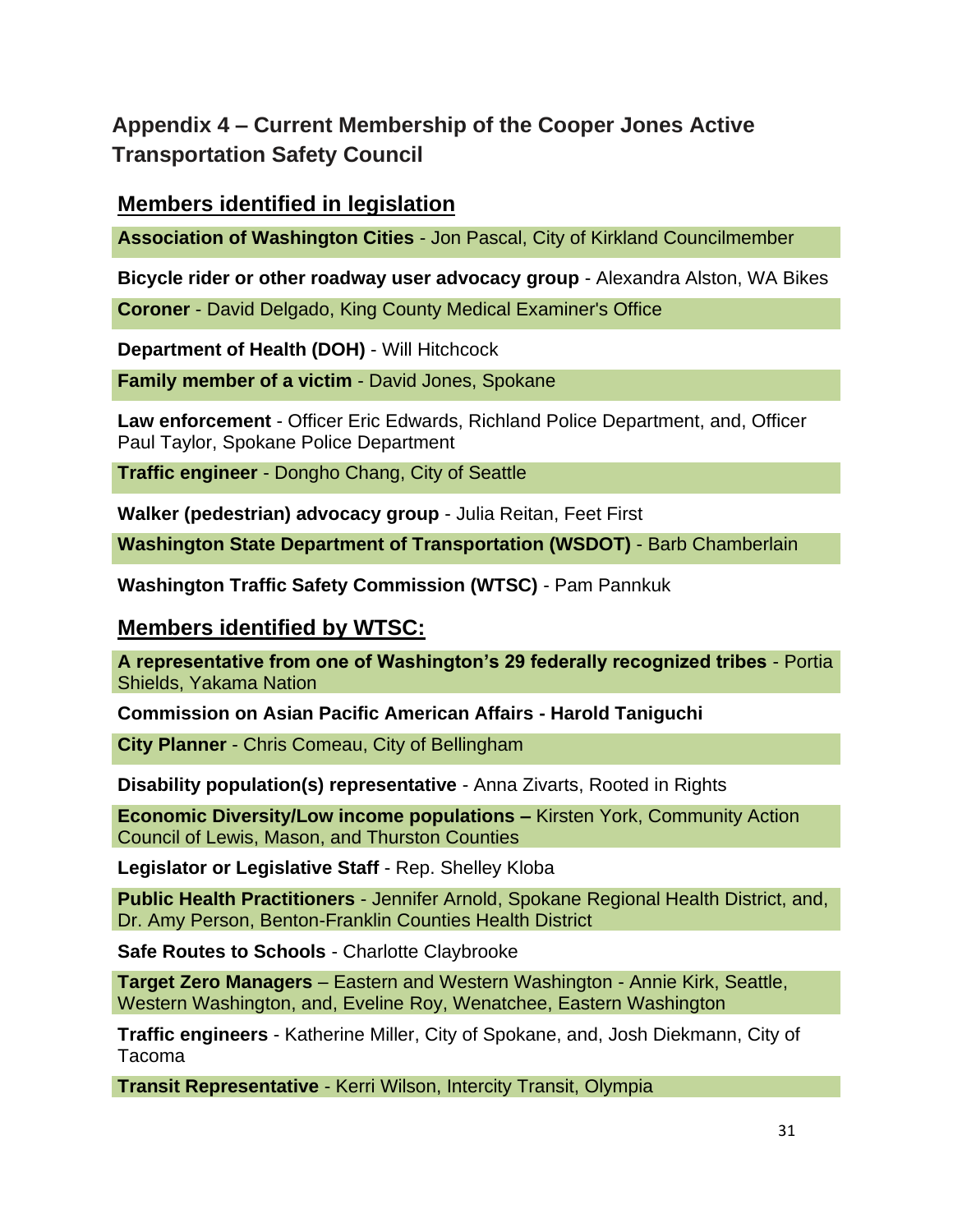## **Appendix 4 – Current Membership of the Cooper Jones Active Transportation Safety Council**

#### **Members identified in legislation**

**Association of Washington Cities** - Jon Pascal, City of Kirkland Councilmember

**Bicycle rider or other roadway user advocacy group** - Alexandra Alston, WA Bikes

**Coroner** - David Delgado, King County Medical Examiner's Office

**Department of Health (DOH)** - Will Hitchcock

**Family member of a victim** - David Jones, Spokane

**Law enforcement** - Officer Eric Edwards, Richland Police Department, and, Officer Paul Taylor, Spokane Police Department

**Traffic engineer** - Dongho Chang, City of Seattle

**Walker (pedestrian) advocacy group** - Julia Reitan, Feet First

**Washington State Department of Transportation (WSDOT)** - Barb Chamberlain

**Washington Traffic Safety Commission (WTSC)** - Pam Pannkuk

#### **Members identified by WTSC:**

**A representative from one of Washington's 29 federally recognized tribes** - Portia Shields, Yakama Nation

**Commission on Asian Pacific American Affairs - Harold Taniguchi**

**City Planner** - Chris Comeau, City of Bellingham

**Disability population(s) representative** - Anna Zivarts, Rooted in Rights

**Economic Diversity/Low income populations –** Kirsten York, Community Action Council of Lewis, Mason, and Thurston Counties

**Legislator or Legislative Staff** - Rep. Shelley Kloba

**Public Health Practitioners** - Jennifer Arnold, Spokane Regional Health District, and, Dr. Amy Person, Benton-Franklin Counties Health District

**Safe Routes to Schools** - Charlotte Claybrooke

**Target Zero Managers** – Eastern and Western Washington - Annie Kirk, Seattle, Western Washington, and, Eveline Roy, Wenatchee, Eastern Washington

**Traffic engineers** - Katherine Miller, City of Spokane, and, Josh Diekmann, City of Tacoma

**Transit Representative** - Kerri Wilson, Intercity Transit, Olympia